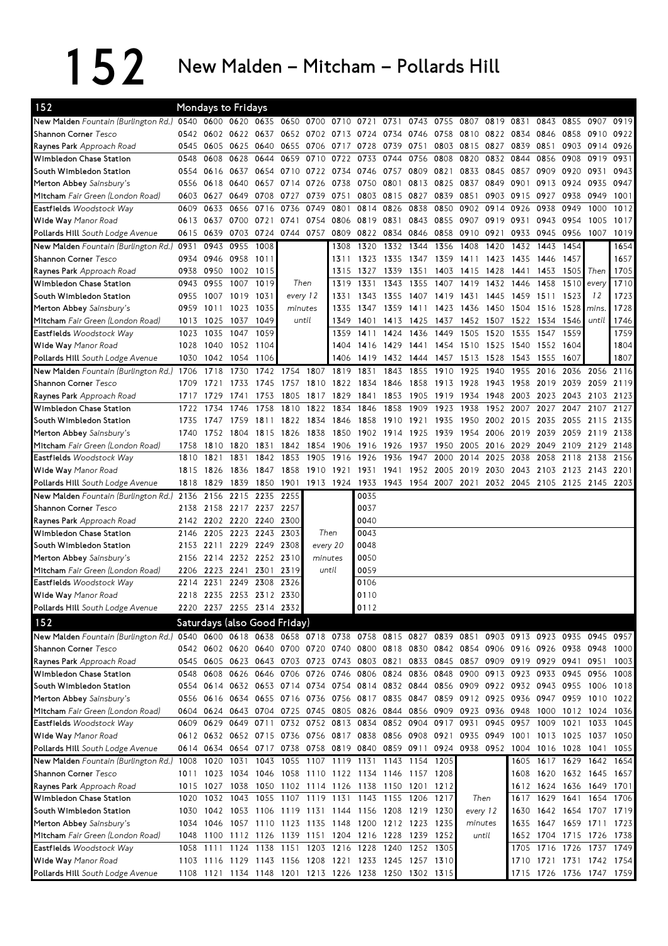$152$  New Malden – Mitcham – Pollards Hill

| New Malden Fountain (Burlington Rd.) 0540 0600 0620 0635 0650 0700 0710 0721 0731<br>0743<br>0755<br>0807<br>0819 0831<br>0843<br>0855<br>0907<br>0919<br>0542<br>0602 0622 0637<br>0652 0702 0713 0724 0734<br>0746 0758 0810 0822 0834 0846 0858 0910 0922<br>0851<br>0545<br>0605 0625 0640<br>0655 0706 0717 0728 0739<br>0751<br>0803 0815 0827<br>0839<br>0903 0914 0926<br>0628<br>0644<br>0659<br>0710<br>0722<br>0733<br>0744<br>0756<br>0808<br>0820<br>0832<br>0844<br>0856<br>0908<br>0919<br>0931<br>0548<br>0608<br>0637<br>0654<br>0710 0722<br>0734<br>0746<br>0757<br>0809<br>0821<br>0833<br>0845<br>0857<br>0909<br>0920<br>0931<br>0943<br>0554<br>0616<br>0750 0801<br>0813<br>0825<br>0837<br>0913<br>0924<br>0935<br>0947<br>0556<br>0618<br>0640<br>0657<br>0714<br>0726<br>0738<br>0849<br>0901<br>0803 0815<br>0851<br>0627<br>0649<br>0708<br>0727<br>0739<br>0751<br>0827<br>0839<br>0903<br>0915<br>0927<br>0938<br>0949<br>1001<br>0603<br>Eastfields Woodstock Way<br>0633<br>0656<br>0716<br>0814 0826<br>0838<br>0850<br>0902<br>0914<br>0926<br>0938<br>0949<br>1000<br>1012<br>0609<br>0736<br>0749<br>0801<br>0637<br>0700 0721<br>0741<br>0819 0831<br>0843 0855 0907<br>0919<br>0931<br>0943 0954<br>1005<br>0613<br>0754<br>0806<br>1017<br>0639<br>0703 0724 0744 0757<br>0809 0822 0834<br>0846 0858 0910 0921<br>0933<br>0945 0956<br>1007<br>1019<br>0615<br>0955<br>1654<br>0931<br>0943<br>1008<br>1320<br>1332<br>1344<br>1356<br>1408<br>1420<br>1432<br>1443<br>1454<br>1308<br>0946 0958 1011<br>1657<br>0934<br>1323 1335<br>1347 1359 1411<br>1423<br>1435<br>1446<br>1457<br>1311<br>0950 1002 1015<br>1327<br>1339<br>1351<br>1428 1441<br>1705<br>0938<br>1315<br>1403 1415<br>1453<br>1505<br>Then<br>1710<br>0955<br>1331<br>1343<br>1355<br>1419<br>1458<br>1510<br>0943<br>1007 1019<br>Then<br>1319<br>1407<br>1432<br>1446<br>every<br>1007 1019 1031<br>1343 1355<br>1407 1419 1431<br>1445 1459 1511<br>12<br>1723<br>0955<br>every 12<br>1331<br>1523<br>1011<br>1023<br>1423<br>1728<br>0959<br>1035<br>1335<br>1347 1359<br>1411<br>1436<br>1450<br>1504<br>1516<br>1528<br>minutes<br>mins.<br>until<br>1746<br>1025<br>1037<br>1049<br>1401<br>1413<br>1425<br>1437<br>1452 1507 1522<br>1534<br>1546<br>until<br>1013<br>1349<br>1035<br>1047<br>1436<br>1449<br>1505<br>1520<br>1535<br>1547<br>1759<br>1023<br>1059<br>1359<br>1411 1424<br>1559<br>1454 1510<br>1028<br>1040<br>1052<br>1416 1429<br>1441<br>1525<br>1540<br>1552<br>1804<br>1104<br>1404<br>1604<br>1807<br>1030<br>1042<br>1054<br>1406<br>1419<br>1432<br>1444<br>1457<br>1513<br>1528<br>1543<br>1555<br>1607<br>1106<br>New Malden Fountain (Burlington Rd.) 1706<br>1718<br>1730<br>1754<br>1807<br>1831<br>1843<br>1855<br>1910<br>1925<br>1940<br>1955<br>2016<br>2036<br>2056<br>1742<br>1819<br>2116<br>1709<br>1810<br>1822<br>1834 1846<br>1858<br>1913<br>1928<br>1943<br>1958<br>2019<br>2039<br>2059<br>2119<br>1721<br>1733<br>1745<br>1757<br>1829<br>1919<br>1934<br>2003 2023<br>1729<br>1741<br>1753<br>1805<br>1817<br>1841<br>1853<br>1905<br>1948<br>2043 2103 2123<br>1717<br>1734<br>1746<br>1810 1822<br>1834<br>1846<br>1858<br>1909<br>1923<br>1938<br>1952<br>2007<br>2027<br>1722<br>1758<br>2047<br>2107<br>2127<br>2002 2015 2035<br>1747<br>1759<br>1811<br>1822 1834<br>1846<br>1858 1910<br>1921<br>1935<br>1950<br>2055<br>2115<br>2135<br>1735<br>1752<br>1838<br>1902 1914<br>1939<br>1954<br>2019<br>2039<br>2059<br>2119<br>1804<br>1815<br>1826<br>1850<br>1925<br>2006<br>2138<br>1740<br>1758<br>1810<br>1820<br>1831<br>1842 1854<br>1906<br>1916 1926<br>1937<br>1950<br>2005<br>2016 2029<br>2049<br>2109<br>2129<br>2148<br>1842<br>1853<br>1905<br>1916<br>1926<br>1936<br>1947<br>2014<br>2038<br>2058<br>1821<br>1831<br>2000<br>2025<br>2118<br>2138<br>2156<br>1810<br>1858<br>1910<br>2005 2019<br>2030<br>2043 2103 2123 2143<br>1815<br>1826<br>1836<br>1847<br>1921<br>1931<br>1941<br>1952<br>2201<br>1901 1913 1924 1933 1943 1954 2007 2021<br>1829<br>1839<br>1850<br>2032 2045 2105 2125 2145 2203<br>1818<br>2215<br>2136<br>2156<br>2235<br>2255<br>0035<br>0037<br>2158 2217 2237<br>2257<br>2138<br>2202 2220 2240<br>0040<br>2300<br>2142<br>2205 2223 2243<br>Then<br>0043<br>2303<br>2146<br>2211 2229 2249<br>0048<br>2308<br>every 20<br>2153<br>Merton Abbey Sainsbury's<br>2214 2232 2252 2310<br>0050<br>minutes<br>2156<br>0059<br>2223 2241 2301<br>2319<br>2206<br>until<br>2249 2308<br>2231<br>2326<br>0106<br>2214<br>2218 2235 2253 2312 2330<br>0110<br>Pollards Hill South Lodge Avenue<br>2220 2237 2255 2314 2332<br>0112<br>152<br>Saturdays (also Good Friday)<br>New Malden Fountain (Burlington Rd.) 0540 0600 0618 0638 0658 0718 0738 0758 0815 0827 0839 0851 0903 0913 0923 0935 0945 0957<br>0542 0602 0620 0640 0700 0720 0740 0800 0818 0830 0842 0854 0906 0916 0926 0938 0948 1000<br>Shannon Corner Tesco<br>Raynes Park Approach Road<br>0545 0605 0623 0643 0703 0723 0743 0803 0821<br>0833 0845 0857 0909 0919 0929 0941<br>0951<br>1003<br>Wimbledon Chase Station<br>0806 0824<br>0836 0848<br>0900<br>0913 0923 0933 0945<br>0608<br>0626 0646<br>0706 0726<br>0746<br>0956<br>1008<br>0548<br>South Wimbledon Station<br>0614 0632 0653 0714 0734 0754 0814 0832<br>0844 0856 0909 0922 0932 0943 0955<br>0554<br>1006<br>1018<br>Merton Abbey Sainsbury's<br>0616 0634 0655 0716 0736 0756 0817 0835<br>0847 0859 0912 0925 0936 0947 0959 1010 1022<br>0556<br>0604 0624 0643 0704 0725 0745 0805 0826 0844 0856 0909 0923 0936 0948<br>Mitcham Fair Green (London Road)<br>1000 1012 1024 1036<br>0732 0752 0813 0834 0852 0904 0917 0931 0945 0957<br>0609 0629 0649 0711<br>1009<br>1021<br>1033<br>1045<br>Eastfields Woodstock Way<br>Wide Way Manor Road<br>0612 0632 0652 0715 0736 0756 0817 0838 0856 0908 0921 0935 0949 1001 1013 1025 1037 1050<br>0614 0634 0654 0717 0738 0758 0819 0840 0859 0911 0924 0938 0952 1004 1016 1028 1041<br>Pollards Hill South Lodge Avenue<br>1055<br>New Malden Fountain (Burlington Rd.) 1008<br>1020 1031 1043 1055 1107 1119 1131 1143 1154 1205<br>1605 1617 1629 1642 1654<br>Shannon Corner Tesco<br>1034 1046 1058 1110 1122 1134 1146<br>1620 1632 1645 1657<br>1023<br>1157 1208<br>1608<br>1011<br>1612 1624 1636 1649 1701<br>Raynes Park Approach Road<br>1027<br>1038<br>1050 1102 1114 1126 1138 1150 1201 1212<br>1015<br>Wimbledon Chase Station<br>1055 1107 1119 1131 1143 1155 1206 1217<br>Then<br>1654 1706<br>1032 1043<br>1629 1641<br>1020<br>1617<br>South Wimbledon Station<br>1042 1053 1106 1119 1131 1144 1156 1208 1219 1230<br>every 12<br>1642 1654 1707 1719<br>1030<br>1630<br>1647 1659 1711 1723<br>Merton Abbey Sainsbury's<br>1046<br>1057 1110 1123 1135 1148 1200 1212 1223 1235<br>minutes<br>1034<br>1635<br>Mitcham Fair Green (London Road)<br>1139 1151 1204 1216 1228<br>1239 1252<br>1652<br>1704 1715 1726 1738<br>1048<br>1100 1112 1126<br>until<br>Eastfields Woodstock Way<br>1124 1138 1151 1203 1216 1228 1240<br>1252 1305<br>1705<br>1716 1726 1737<br>1749<br>1058<br>1111<br>Wide Way Manor Road<br>1710 1721 1731 1742 1754<br>1103 1116 1129 1143 1156 1208 1221 1233 1245 1257 1310<br>Pollards Hill South Lodge Avenue<br>1108 1121 1134 1148 1201 1213 1226 1238 1250 1302 1315<br>1715 1726 1736 1747 1759 | 152                                  | <b>Mondays to Fridays</b> |  |  |  |  |  |  |  |  |
|-----------------------------------------------------------------------------------------------------------------------------------------------------------------------------------------------------------------------------------------------------------------------------------------------------------------------------------------------------------------------------------------------------------------------------------------------------------------------------------------------------------------------------------------------------------------------------------------------------------------------------------------------------------------------------------------------------------------------------------------------------------------------------------------------------------------------------------------------------------------------------------------------------------------------------------------------------------------------------------------------------------------------------------------------------------------------------------------------------------------------------------------------------------------------------------------------------------------------------------------------------------------------------------------------------------------------------------------------------------------------------------------------------------------------------------------------------------------------------------------------------------------------------------------------------------------------------------------------------------------------------------------------------------------------------------------------------------------------------------------------------------------------------------------------------------------------------------------------------------------------------------------------------------------------------------------------------------------------------------------------------------------------------------------------------------------------------------------------------------------------------------------------------------------------------------------------------------------------------------------------------------------------------------------------------------------------------------------------------------------------------------------------------------------------------------------------------------------------------------------------------------------------------------------------------------------------------------------------------------------------------------------------------------------------------------------------------------------------------------------------------------------------------------------------------------------------------------------------------------------------------------------------------------------------------------------------------------------------------------------------------------------------------------------------------------------------------------------------------------------------------------------------------------------------------------------------------------------------------------------------------------------------------------------------------------------------------------------------------------------------------------------------------------------------------------------------------------------------------------------------------------------------------------------------------------------------------------------------------------------------------------------------------------------------------------------------------------------------------------------------------------------------------------------------------------------------------------------------------------------------------------------------------------------------------------------------------------------------------------------------------------------------------------------------------------------------------------------------------------------------------------------------------------------------------------------------------------------------------------------------------------------------------------------------------------------------------------------------------------------------------------------------------------------------------------------------------------------------------------------------------------------------------------------------------------------------------------------------------------------------------------------------------------------------------------------------------------------------------------------------------------------------------------------------------------------------------------------------------------------------------------------------------------------------------------------------------------------------------------------------------------------------------------------------------------------------------------------------------------------------------------------------------------------------------------------------------------------------------------------------------------------------------------------------------------------------------------------------------------------------------------------------------------------------------------------------------------------------------------------------------------------------------------------------------------------------------------------------------------------------------------------------------------------------------------------------------------------------------------------------------------------------------------------------------------------------------------------------------------------------------------------------------------------------------------------------------------------------------------------------------------------------------------------------------------------------------------------------------------------------------------------------------------------------------------------------------------------------------------------------------------------------------------------------------------------------------------------------------------------------------------------------------------------------------------------------------------------------------------------------------------------------------------------------------------------------------------------------------------------------------------------------------------------------------------------------------------------------------------------------------------------------------------------------------------------------------------------------------------------------------------------------------------------------------------------------------------------------------------------------------------------------------------------------------------------------------------------------------------------------------------------------------------------------------------------------------------------------------------------------------------------------------------------------------------------------------------------------------------------------------|--------------------------------------|---------------------------|--|--|--|--|--|--|--|--|
|                                                                                                                                                                                                                                                                                                                                                                                                                                                                                                                                                                                                                                                                                                                                                                                                                                                                                                                                                                                                                                                                                                                                                                                                                                                                                                                                                                                                                                                                                                                                                                                                                                                                                                                                                                                                                                                                                                                                                                                                                                                                                                                                                                                                                                                                                                                                                                                                                                                                                                                                                                                                                                                                                                                                                                                                                                                                                                                                                                                                                                                                                                                                                                                                                                                                                                                                                                                                                                                                                                                                                                                                                                                                                                                                                                                                                                                                                                                                                                                                                                                                                                                                                                                                                                                                                                                                                                                                                                                                                                                                                                                                                                                                                                                                                                                                                                                                                                                                                                                                                                                                                                                                                                                                                                                                                                                                                                                                                                                                                                                                                                                                                                                                                                                                                                                                                                                                                                                                                                                                                                                                                                                                                                                                                                                                                                                                                                                                                                                                                                                                                                                                                                                                                                                                                                                                                                                                                                                                                                                                                                                                                                                                                                                                                                                                                                                                                                             |                                      |                           |  |  |  |  |  |  |  |  |
|                                                                                                                                                                                                                                                                                                                                                                                                                                                                                                                                                                                                                                                                                                                                                                                                                                                                                                                                                                                                                                                                                                                                                                                                                                                                                                                                                                                                                                                                                                                                                                                                                                                                                                                                                                                                                                                                                                                                                                                                                                                                                                                                                                                                                                                                                                                                                                                                                                                                                                                                                                                                                                                                                                                                                                                                                                                                                                                                                                                                                                                                                                                                                                                                                                                                                                                                                                                                                                                                                                                                                                                                                                                                                                                                                                                                                                                                                                                                                                                                                                                                                                                                                                                                                                                                                                                                                                                                                                                                                                                                                                                                                                                                                                                                                                                                                                                                                                                                                                                                                                                                                                                                                                                                                                                                                                                                                                                                                                                                                                                                                                                                                                                                                                                                                                                                                                                                                                                                                                                                                                                                                                                                                                                                                                                                                                                                                                                                                                                                                                                                                                                                                                                                                                                                                                                                                                                                                                                                                                                                                                                                                                                                                                                                                                                                                                                                                                             | Shannon Corner Tesco                 |                           |  |  |  |  |  |  |  |  |
|                                                                                                                                                                                                                                                                                                                                                                                                                                                                                                                                                                                                                                                                                                                                                                                                                                                                                                                                                                                                                                                                                                                                                                                                                                                                                                                                                                                                                                                                                                                                                                                                                                                                                                                                                                                                                                                                                                                                                                                                                                                                                                                                                                                                                                                                                                                                                                                                                                                                                                                                                                                                                                                                                                                                                                                                                                                                                                                                                                                                                                                                                                                                                                                                                                                                                                                                                                                                                                                                                                                                                                                                                                                                                                                                                                                                                                                                                                                                                                                                                                                                                                                                                                                                                                                                                                                                                                                                                                                                                                                                                                                                                                                                                                                                                                                                                                                                                                                                                                                                                                                                                                                                                                                                                                                                                                                                                                                                                                                                                                                                                                                                                                                                                                                                                                                                                                                                                                                                                                                                                                                                                                                                                                                                                                                                                                                                                                                                                                                                                                                                                                                                                                                                                                                                                                                                                                                                                                                                                                                                                                                                                                                                                                                                                                                                                                                                                                             | Raynes Park Approach Road            |                           |  |  |  |  |  |  |  |  |
|                                                                                                                                                                                                                                                                                                                                                                                                                                                                                                                                                                                                                                                                                                                                                                                                                                                                                                                                                                                                                                                                                                                                                                                                                                                                                                                                                                                                                                                                                                                                                                                                                                                                                                                                                                                                                                                                                                                                                                                                                                                                                                                                                                                                                                                                                                                                                                                                                                                                                                                                                                                                                                                                                                                                                                                                                                                                                                                                                                                                                                                                                                                                                                                                                                                                                                                                                                                                                                                                                                                                                                                                                                                                                                                                                                                                                                                                                                                                                                                                                                                                                                                                                                                                                                                                                                                                                                                                                                                                                                                                                                                                                                                                                                                                                                                                                                                                                                                                                                                                                                                                                                                                                                                                                                                                                                                                                                                                                                                                                                                                                                                                                                                                                                                                                                                                                                                                                                                                                                                                                                                                                                                                                                                                                                                                                                                                                                                                                                                                                                                                                                                                                                                                                                                                                                                                                                                                                                                                                                                                                                                                                                                                                                                                                                                                                                                                                                             | Wimbledon Chase Station              |                           |  |  |  |  |  |  |  |  |
|                                                                                                                                                                                                                                                                                                                                                                                                                                                                                                                                                                                                                                                                                                                                                                                                                                                                                                                                                                                                                                                                                                                                                                                                                                                                                                                                                                                                                                                                                                                                                                                                                                                                                                                                                                                                                                                                                                                                                                                                                                                                                                                                                                                                                                                                                                                                                                                                                                                                                                                                                                                                                                                                                                                                                                                                                                                                                                                                                                                                                                                                                                                                                                                                                                                                                                                                                                                                                                                                                                                                                                                                                                                                                                                                                                                                                                                                                                                                                                                                                                                                                                                                                                                                                                                                                                                                                                                                                                                                                                                                                                                                                                                                                                                                                                                                                                                                                                                                                                                                                                                                                                                                                                                                                                                                                                                                                                                                                                                                                                                                                                                                                                                                                                                                                                                                                                                                                                                                                                                                                                                                                                                                                                                                                                                                                                                                                                                                                                                                                                                                                                                                                                                                                                                                                                                                                                                                                                                                                                                                                                                                                                                                                                                                                                                                                                                                                                             | South Wimbledon Station              |                           |  |  |  |  |  |  |  |  |
|                                                                                                                                                                                                                                                                                                                                                                                                                                                                                                                                                                                                                                                                                                                                                                                                                                                                                                                                                                                                                                                                                                                                                                                                                                                                                                                                                                                                                                                                                                                                                                                                                                                                                                                                                                                                                                                                                                                                                                                                                                                                                                                                                                                                                                                                                                                                                                                                                                                                                                                                                                                                                                                                                                                                                                                                                                                                                                                                                                                                                                                                                                                                                                                                                                                                                                                                                                                                                                                                                                                                                                                                                                                                                                                                                                                                                                                                                                                                                                                                                                                                                                                                                                                                                                                                                                                                                                                                                                                                                                                                                                                                                                                                                                                                                                                                                                                                                                                                                                                                                                                                                                                                                                                                                                                                                                                                                                                                                                                                                                                                                                                                                                                                                                                                                                                                                                                                                                                                                                                                                                                                                                                                                                                                                                                                                                                                                                                                                                                                                                                                                                                                                                                                                                                                                                                                                                                                                                                                                                                                                                                                                                                                                                                                                                                                                                                                                                             | Merton Abbey Sainsbury's             |                           |  |  |  |  |  |  |  |  |
|                                                                                                                                                                                                                                                                                                                                                                                                                                                                                                                                                                                                                                                                                                                                                                                                                                                                                                                                                                                                                                                                                                                                                                                                                                                                                                                                                                                                                                                                                                                                                                                                                                                                                                                                                                                                                                                                                                                                                                                                                                                                                                                                                                                                                                                                                                                                                                                                                                                                                                                                                                                                                                                                                                                                                                                                                                                                                                                                                                                                                                                                                                                                                                                                                                                                                                                                                                                                                                                                                                                                                                                                                                                                                                                                                                                                                                                                                                                                                                                                                                                                                                                                                                                                                                                                                                                                                                                                                                                                                                                                                                                                                                                                                                                                                                                                                                                                                                                                                                                                                                                                                                                                                                                                                                                                                                                                                                                                                                                                                                                                                                                                                                                                                                                                                                                                                                                                                                                                                                                                                                                                                                                                                                                                                                                                                                                                                                                                                                                                                                                                                                                                                                                                                                                                                                                                                                                                                                                                                                                                                                                                                                                                                                                                                                                                                                                                                                             | Mitcham Fair Green (London Road)     |                           |  |  |  |  |  |  |  |  |
|                                                                                                                                                                                                                                                                                                                                                                                                                                                                                                                                                                                                                                                                                                                                                                                                                                                                                                                                                                                                                                                                                                                                                                                                                                                                                                                                                                                                                                                                                                                                                                                                                                                                                                                                                                                                                                                                                                                                                                                                                                                                                                                                                                                                                                                                                                                                                                                                                                                                                                                                                                                                                                                                                                                                                                                                                                                                                                                                                                                                                                                                                                                                                                                                                                                                                                                                                                                                                                                                                                                                                                                                                                                                                                                                                                                                                                                                                                                                                                                                                                                                                                                                                                                                                                                                                                                                                                                                                                                                                                                                                                                                                                                                                                                                                                                                                                                                                                                                                                                                                                                                                                                                                                                                                                                                                                                                                                                                                                                                                                                                                                                                                                                                                                                                                                                                                                                                                                                                                                                                                                                                                                                                                                                                                                                                                                                                                                                                                                                                                                                                                                                                                                                                                                                                                                                                                                                                                                                                                                                                                                                                                                                                                                                                                                                                                                                                                                             |                                      |                           |  |  |  |  |  |  |  |  |
|                                                                                                                                                                                                                                                                                                                                                                                                                                                                                                                                                                                                                                                                                                                                                                                                                                                                                                                                                                                                                                                                                                                                                                                                                                                                                                                                                                                                                                                                                                                                                                                                                                                                                                                                                                                                                                                                                                                                                                                                                                                                                                                                                                                                                                                                                                                                                                                                                                                                                                                                                                                                                                                                                                                                                                                                                                                                                                                                                                                                                                                                                                                                                                                                                                                                                                                                                                                                                                                                                                                                                                                                                                                                                                                                                                                                                                                                                                                                                                                                                                                                                                                                                                                                                                                                                                                                                                                                                                                                                                                                                                                                                                                                                                                                                                                                                                                                                                                                                                                                                                                                                                                                                                                                                                                                                                                                                                                                                                                                                                                                                                                                                                                                                                                                                                                                                                                                                                                                                                                                                                                                                                                                                                                                                                                                                                                                                                                                                                                                                                                                                                                                                                                                                                                                                                                                                                                                                                                                                                                                                                                                                                                                                                                                                                                                                                                                                                             | Wide Way Manor Road                  |                           |  |  |  |  |  |  |  |  |
|                                                                                                                                                                                                                                                                                                                                                                                                                                                                                                                                                                                                                                                                                                                                                                                                                                                                                                                                                                                                                                                                                                                                                                                                                                                                                                                                                                                                                                                                                                                                                                                                                                                                                                                                                                                                                                                                                                                                                                                                                                                                                                                                                                                                                                                                                                                                                                                                                                                                                                                                                                                                                                                                                                                                                                                                                                                                                                                                                                                                                                                                                                                                                                                                                                                                                                                                                                                                                                                                                                                                                                                                                                                                                                                                                                                                                                                                                                                                                                                                                                                                                                                                                                                                                                                                                                                                                                                                                                                                                                                                                                                                                                                                                                                                                                                                                                                                                                                                                                                                                                                                                                                                                                                                                                                                                                                                                                                                                                                                                                                                                                                                                                                                                                                                                                                                                                                                                                                                                                                                                                                                                                                                                                                                                                                                                                                                                                                                                                                                                                                                                                                                                                                                                                                                                                                                                                                                                                                                                                                                                                                                                                                                                                                                                                                                                                                                                                             | Pollards Hill South Lodge Avenue     |                           |  |  |  |  |  |  |  |  |
|                                                                                                                                                                                                                                                                                                                                                                                                                                                                                                                                                                                                                                                                                                                                                                                                                                                                                                                                                                                                                                                                                                                                                                                                                                                                                                                                                                                                                                                                                                                                                                                                                                                                                                                                                                                                                                                                                                                                                                                                                                                                                                                                                                                                                                                                                                                                                                                                                                                                                                                                                                                                                                                                                                                                                                                                                                                                                                                                                                                                                                                                                                                                                                                                                                                                                                                                                                                                                                                                                                                                                                                                                                                                                                                                                                                                                                                                                                                                                                                                                                                                                                                                                                                                                                                                                                                                                                                                                                                                                                                                                                                                                                                                                                                                                                                                                                                                                                                                                                                                                                                                                                                                                                                                                                                                                                                                                                                                                                                                                                                                                                                                                                                                                                                                                                                                                                                                                                                                                                                                                                                                                                                                                                                                                                                                                                                                                                                                                                                                                                                                                                                                                                                                                                                                                                                                                                                                                                                                                                                                                                                                                                                                                                                                                                                                                                                                                                             | New Malden Fountain (Burlington Rd.) |                           |  |  |  |  |  |  |  |  |
|                                                                                                                                                                                                                                                                                                                                                                                                                                                                                                                                                                                                                                                                                                                                                                                                                                                                                                                                                                                                                                                                                                                                                                                                                                                                                                                                                                                                                                                                                                                                                                                                                                                                                                                                                                                                                                                                                                                                                                                                                                                                                                                                                                                                                                                                                                                                                                                                                                                                                                                                                                                                                                                                                                                                                                                                                                                                                                                                                                                                                                                                                                                                                                                                                                                                                                                                                                                                                                                                                                                                                                                                                                                                                                                                                                                                                                                                                                                                                                                                                                                                                                                                                                                                                                                                                                                                                                                                                                                                                                                                                                                                                                                                                                                                                                                                                                                                                                                                                                                                                                                                                                                                                                                                                                                                                                                                                                                                                                                                                                                                                                                                                                                                                                                                                                                                                                                                                                                                                                                                                                                                                                                                                                                                                                                                                                                                                                                                                                                                                                                                                                                                                                                                                                                                                                                                                                                                                                                                                                                                                                                                                                                                                                                                                                                                                                                                                                             | Shannon Corner Tesco                 |                           |  |  |  |  |  |  |  |  |
|                                                                                                                                                                                                                                                                                                                                                                                                                                                                                                                                                                                                                                                                                                                                                                                                                                                                                                                                                                                                                                                                                                                                                                                                                                                                                                                                                                                                                                                                                                                                                                                                                                                                                                                                                                                                                                                                                                                                                                                                                                                                                                                                                                                                                                                                                                                                                                                                                                                                                                                                                                                                                                                                                                                                                                                                                                                                                                                                                                                                                                                                                                                                                                                                                                                                                                                                                                                                                                                                                                                                                                                                                                                                                                                                                                                                                                                                                                                                                                                                                                                                                                                                                                                                                                                                                                                                                                                                                                                                                                                                                                                                                                                                                                                                                                                                                                                                                                                                                                                                                                                                                                                                                                                                                                                                                                                                                                                                                                                                                                                                                                                                                                                                                                                                                                                                                                                                                                                                                                                                                                                                                                                                                                                                                                                                                                                                                                                                                                                                                                                                                                                                                                                                                                                                                                                                                                                                                                                                                                                                                                                                                                                                                                                                                                                                                                                                                                             | Raynes Park Approach Road            |                           |  |  |  |  |  |  |  |  |
|                                                                                                                                                                                                                                                                                                                                                                                                                                                                                                                                                                                                                                                                                                                                                                                                                                                                                                                                                                                                                                                                                                                                                                                                                                                                                                                                                                                                                                                                                                                                                                                                                                                                                                                                                                                                                                                                                                                                                                                                                                                                                                                                                                                                                                                                                                                                                                                                                                                                                                                                                                                                                                                                                                                                                                                                                                                                                                                                                                                                                                                                                                                                                                                                                                                                                                                                                                                                                                                                                                                                                                                                                                                                                                                                                                                                                                                                                                                                                                                                                                                                                                                                                                                                                                                                                                                                                                                                                                                                                                                                                                                                                                                                                                                                                                                                                                                                                                                                                                                                                                                                                                                                                                                                                                                                                                                                                                                                                                                                                                                                                                                                                                                                                                                                                                                                                                                                                                                                                                                                                                                                                                                                                                                                                                                                                                                                                                                                                                                                                                                                                                                                                                                                                                                                                                                                                                                                                                                                                                                                                                                                                                                                                                                                                                                                                                                                                                             | Wimbledon Chase Station              |                           |  |  |  |  |  |  |  |  |
|                                                                                                                                                                                                                                                                                                                                                                                                                                                                                                                                                                                                                                                                                                                                                                                                                                                                                                                                                                                                                                                                                                                                                                                                                                                                                                                                                                                                                                                                                                                                                                                                                                                                                                                                                                                                                                                                                                                                                                                                                                                                                                                                                                                                                                                                                                                                                                                                                                                                                                                                                                                                                                                                                                                                                                                                                                                                                                                                                                                                                                                                                                                                                                                                                                                                                                                                                                                                                                                                                                                                                                                                                                                                                                                                                                                                                                                                                                                                                                                                                                                                                                                                                                                                                                                                                                                                                                                                                                                                                                                                                                                                                                                                                                                                                                                                                                                                                                                                                                                                                                                                                                                                                                                                                                                                                                                                                                                                                                                                                                                                                                                                                                                                                                                                                                                                                                                                                                                                                                                                                                                                                                                                                                                                                                                                                                                                                                                                                                                                                                                                                                                                                                                                                                                                                                                                                                                                                                                                                                                                                                                                                                                                                                                                                                                                                                                                                                             | South Wimbledon Station              |                           |  |  |  |  |  |  |  |  |
|                                                                                                                                                                                                                                                                                                                                                                                                                                                                                                                                                                                                                                                                                                                                                                                                                                                                                                                                                                                                                                                                                                                                                                                                                                                                                                                                                                                                                                                                                                                                                                                                                                                                                                                                                                                                                                                                                                                                                                                                                                                                                                                                                                                                                                                                                                                                                                                                                                                                                                                                                                                                                                                                                                                                                                                                                                                                                                                                                                                                                                                                                                                                                                                                                                                                                                                                                                                                                                                                                                                                                                                                                                                                                                                                                                                                                                                                                                                                                                                                                                                                                                                                                                                                                                                                                                                                                                                                                                                                                                                                                                                                                                                                                                                                                                                                                                                                                                                                                                                                                                                                                                                                                                                                                                                                                                                                                                                                                                                                                                                                                                                                                                                                                                                                                                                                                                                                                                                                                                                                                                                                                                                                                                                                                                                                                                                                                                                                                                                                                                                                                                                                                                                                                                                                                                                                                                                                                                                                                                                                                                                                                                                                                                                                                                                                                                                                                                             | Merton Abbey Sainsbury's             |                           |  |  |  |  |  |  |  |  |
|                                                                                                                                                                                                                                                                                                                                                                                                                                                                                                                                                                                                                                                                                                                                                                                                                                                                                                                                                                                                                                                                                                                                                                                                                                                                                                                                                                                                                                                                                                                                                                                                                                                                                                                                                                                                                                                                                                                                                                                                                                                                                                                                                                                                                                                                                                                                                                                                                                                                                                                                                                                                                                                                                                                                                                                                                                                                                                                                                                                                                                                                                                                                                                                                                                                                                                                                                                                                                                                                                                                                                                                                                                                                                                                                                                                                                                                                                                                                                                                                                                                                                                                                                                                                                                                                                                                                                                                                                                                                                                                                                                                                                                                                                                                                                                                                                                                                                                                                                                                                                                                                                                                                                                                                                                                                                                                                                                                                                                                                                                                                                                                                                                                                                                                                                                                                                                                                                                                                                                                                                                                                                                                                                                                                                                                                                                                                                                                                                                                                                                                                                                                                                                                                                                                                                                                                                                                                                                                                                                                                                                                                                                                                                                                                                                                                                                                                                                             | Mitcham Fair Green (London Road)     |                           |  |  |  |  |  |  |  |  |
|                                                                                                                                                                                                                                                                                                                                                                                                                                                                                                                                                                                                                                                                                                                                                                                                                                                                                                                                                                                                                                                                                                                                                                                                                                                                                                                                                                                                                                                                                                                                                                                                                                                                                                                                                                                                                                                                                                                                                                                                                                                                                                                                                                                                                                                                                                                                                                                                                                                                                                                                                                                                                                                                                                                                                                                                                                                                                                                                                                                                                                                                                                                                                                                                                                                                                                                                                                                                                                                                                                                                                                                                                                                                                                                                                                                                                                                                                                                                                                                                                                                                                                                                                                                                                                                                                                                                                                                                                                                                                                                                                                                                                                                                                                                                                                                                                                                                                                                                                                                                                                                                                                                                                                                                                                                                                                                                                                                                                                                                                                                                                                                                                                                                                                                                                                                                                                                                                                                                                                                                                                                                                                                                                                                                                                                                                                                                                                                                                                                                                                                                                                                                                                                                                                                                                                                                                                                                                                                                                                                                                                                                                                                                                                                                                                                                                                                                                                             | Eastfields Woodstock Way             |                           |  |  |  |  |  |  |  |  |
|                                                                                                                                                                                                                                                                                                                                                                                                                                                                                                                                                                                                                                                                                                                                                                                                                                                                                                                                                                                                                                                                                                                                                                                                                                                                                                                                                                                                                                                                                                                                                                                                                                                                                                                                                                                                                                                                                                                                                                                                                                                                                                                                                                                                                                                                                                                                                                                                                                                                                                                                                                                                                                                                                                                                                                                                                                                                                                                                                                                                                                                                                                                                                                                                                                                                                                                                                                                                                                                                                                                                                                                                                                                                                                                                                                                                                                                                                                                                                                                                                                                                                                                                                                                                                                                                                                                                                                                                                                                                                                                                                                                                                                                                                                                                                                                                                                                                                                                                                                                                                                                                                                                                                                                                                                                                                                                                                                                                                                                                                                                                                                                                                                                                                                                                                                                                                                                                                                                                                                                                                                                                                                                                                                                                                                                                                                                                                                                                                                                                                                                                                                                                                                                                                                                                                                                                                                                                                                                                                                                                                                                                                                                                                                                                                                                                                                                                                                             | Wide Way Manor Road                  |                           |  |  |  |  |  |  |  |  |
|                                                                                                                                                                                                                                                                                                                                                                                                                                                                                                                                                                                                                                                                                                                                                                                                                                                                                                                                                                                                                                                                                                                                                                                                                                                                                                                                                                                                                                                                                                                                                                                                                                                                                                                                                                                                                                                                                                                                                                                                                                                                                                                                                                                                                                                                                                                                                                                                                                                                                                                                                                                                                                                                                                                                                                                                                                                                                                                                                                                                                                                                                                                                                                                                                                                                                                                                                                                                                                                                                                                                                                                                                                                                                                                                                                                                                                                                                                                                                                                                                                                                                                                                                                                                                                                                                                                                                                                                                                                                                                                                                                                                                                                                                                                                                                                                                                                                                                                                                                                                                                                                                                                                                                                                                                                                                                                                                                                                                                                                                                                                                                                                                                                                                                                                                                                                                                                                                                                                                                                                                                                                                                                                                                                                                                                                                                                                                                                                                                                                                                                                                                                                                                                                                                                                                                                                                                                                                                                                                                                                                                                                                                                                                                                                                                                                                                                                                                             | Pollards Hill South Lodge Avenue     |                           |  |  |  |  |  |  |  |  |
|                                                                                                                                                                                                                                                                                                                                                                                                                                                                                                                                                                                                                                                                                                                                                                                                                                                                                                                                                                                                                                                                                                                                                                                                                                                                                                                                                                                                                                                                                                                                                                                                                                                                                                                                                                                                                                                                                                                                                                                                                                                                                                                                                                                                                                                                                                                                                                                                                                                                                                                                                                                                                                                                                                                                                                                                                                                                                                                                                                                                                                                                                                                                                                                                                                                                                                                                                                                                                                                                                                                                                                                                                                                                                                                                                                                                                                                                                                                                                                                                                                                                                                                                                                                                                                                                                                                                                                                                                                                                                                                                                                                                                                                                                                                                                                                                                                                                                                                                                                                                                                                                                                                                                                                                                                                                                                                                                                                                                                                                                                                                                                                                                                                                                                                                                                                                                                                                                                                                                                                                                                                                                                                                                                                                                                                                                                                                                                                                                                                                                                                                                                                                                                                                                                                                                                                                                                                                                                                                                                                                                                                                                                                                                                                                                                                                                                                                                                             |                                      |                           |  |  |  |  |  |  |  |  |
|                                                                                                                                                                                                                                                                                                                                                                                                                                                                                                                                                                                                                                                                                                                                                                                                                                                                                                                                                                                                                                                                                                                                                                                                                                                                                                                                                                                                                                                                                                                                                                                                                                                                                                                                                                                                                                                                                                                                                                                                                                                                                                                                                                                                                                                                                                                                                                                                                                                                                                                                                                                                                                                                                                                                                                                                                                                                                                                                                                                                                                                                                                                                                                                                                                                                                                                                                                                                                                                                                                                                                                                                                                                                                                                                                                                                                                                                                                                                                                                                                                                                                                                                                                                                                                                                                                                                                                                                                                                                                                                                                                                                                                                                                                                                                                                                                                                                                                                                                                                                                                                                                                                                                                                                                                                                                                                                                                                                                                                                                                                                                                                                                                                                                                                                                                                                                                                                                                                                                                                                                                                                                                                                                                                                                                                                                                                                                                                                                                                                                                                                                                                                                                                                                                                                                                                                                                                                                                                                                                                                                                                                                                                                                                                                                                                                                                                                                                             | Shannon Corner Tesco                 |                           |  |  |  |  |  |  |  |  |
|                                                                                                                                                                                                                                                                                                                                                                                                                                                                                                                                                                                                                                                                                                                                                                                                                                                                                                                                                                                                                                                                                                                                                                                                                                                                                                                                                                                                                                                                                                                                                                                                                                                                                                                                                                                                                                                                                                                                                                                                                                                                                                                                                                                                                                                                                                                                                                                                                                                                                                                                                                                                                                                                                                                                                                                                                                                                                                                                                                                                                                                                                                                                                                                                                                                                                                                                                                                                                                                                                                                                                                                                                                                                                                                                                                                                                                                                                                                                                                                                                                                                                                                                                                                                                                                                                                                                                                                                                                                                                                                                                                                                                                                                                                                                                                                                                                                                                                                                                                                                                                                                                                                                                                                                                                                                                                                                                                                                                                                                                                                                                                                                                                                                                                                                                                                                                                                                                                                                                                                                                                                                                                                                                                                                                                                                                                                                                                                                                                                                                                                                                                                                                                                                                                                                                                                                                                                                                                                                                                                                                                                                                                                                                                                                                                                                                                                                                                             | Raynes Park Approach Road            |                           |  |  |  |  |  |  |  |  |
|                                                                                                                                                                                                                                                                                                                                                                                                                                                                                                                                                                                                                                                                                                                                                                                                                                                                                                                                                                                                                                                                                                                                                                                                                                                                                                                                                                                                                                                                                                                                                                                                                                                                                                                                                                                                                                                                                                                                                                                                                                                                                                                                                                                                                                                                                                                                                                                                                                                                                                                                                                                                                                                                                                                                                                                                                                                                                                                                                                                                                                                                                                                                                                                                                                                                                                                                                                                                                                                                                                                                                                                                                                                                                                                                                                                                                                                                                                                                                                                                                                                                                                                                                                                                                                                                                                                                                                                                                                                                                                                                                                                                                                                                                                                                                                                                                                                                                                                                                                                                                                                                                                                                                                                                                                                                                                                                                                                                                                                                                                                                                                                                                                                                                                                                                                                                                                                                                                                                                                                                                                                                                                                                                                                                                                                                                                                                                                                                                                                                                                                                                                                                                                                                                                                                                                                                                                                                                                                                                                                                                                                                                                                                                                                                                                                                                                                                                                             | Wimbledon Chase Station              |                           |  |  |  |  |  |  |  |  |
|                                                                                                                                                                                                                                                                                                                                                                                                                                                                                                                                                                                                                                                                                                                                                                                                                                                                                                                                                                                                                                                                                                                                                                                                                                                                                                                                                                                                                                                                                                                                                                                                                                                                                                                                                                                                                                                                                                                                                                                                                                                                                                                                                                                                                                                                                                                                                                                                                                                                                                                                                                                                                                                                                                                                                                                                                                                                                                                                                                                                                                                                                                                                                                                                                                                                                                                                                                                                                                                                                                                                                                                                                                                                                                                                                                                                                                                                                                                                                                                                                                                                                                                                                                                                                                                                                                                                                                                                                                                                                                                                                                                                                                                                                                                                                                                                                                                                                                                                                                                                                                                                                                                                                                                                                                                                                                                                                                                                                                                                                                                                                                                                                                                                                                                                                                                                                                                                                                                                                                                                                                                                                                                                                                                                                                                                                                                                                                                                                                                                                                                                                                                                                                                                                                                                                                                                                                                                                                                                                                                                                                                                                                                                                                                                                                                                                                                                                                             | South Wimbledon Station              |                           |  |  |  |  |  |  |  |  |
|                                                                                                                                                                                                                                                                                                                                                                                                                                                                                                                                                                                                                                                                                                                                                                                                                                                                                                                                                                                                                                                                                                                                                                                                                                                                                                                                                                                                                                                                                                                                                                                                                                                                                                                                                                                                                                                                                                                                                                                                                                                                                                                                                                                                                                                                                                                                                                                                                                                                                                                                                                                                                                                                                                                                                                                                                                                                                                                                                                                                                                                                                                                                                                                                                                                                                                                                                                                                                                                                                                                                                                                                                                                                                                                                                                                                                                                                                                                                                                                                                                                                                                                                                                                                                                                                                                                                                                                                                                                                                                                                                                                                                                                                                                                                                                                                                                                                                                                                                                                                                                                                                                                                                                                                                                                                                                                                                                                                                                                                                                                                                                                                                                                                                                                                                                                                                                                                                                                                                                                                                                                                                                                                                                                                                                                                                                                                                                                                                                                                                                                                                                                                                                                                                                                                                                                                                                                                                                                                                                                                                                                                                                                                                                                                                                                                                                                                                                             | Merton Abbey Sainsbury's             |                           |  |  |  |  |  |  |  |  |
|                                                                                                                                                                                                                                                                                                                                                                                                                                                                                                                                                                                                                                                                                                                                                                                                                                                                                                                                                                                                                                                                                                                                                                                                                                                                                                                                                                                                                                                                                                                                                                                                                                                                                                                                                                                                                                                                                                                                                                                                                                                                                                                                                                                                                                                                                                                                                                                                                                                                                                                                                                                                                                                                                                                                                                                                                                                                                                                                                                                                                                                                                                                                                                                                                                                                                                                                                                                                                                                                                                                                                                                                                                                                                                                                                                                                                                                                                                                                                                                                                                                                                                                                                                                                                                                                                                                                                                                                                                                                                                                                                                                                                                                                                                                                                                                                                                                                                                                                                                                                                                                                                                                                                                                                                                                                                                                                                                                                                                                                                                                                                                                                                                                                                                                                                                                                                                                                                                                                                                                                                                                                                                                                                                                                                                                                                                                                                                                                                                                                                                                                                                                                                                                                                                                                                                                                                                                                                                                                                                                                                                                                                                                                                                                                                                                                                                                                                                             | Mitcham Fair Green (London Road)     |                           |  |  |  |  |  |  |  |  |
|                                                                                                                                                                                                                                                                                                                                                                                                                                                                                                                                                                                                                                                                                                                                                                                                                                                                                                                                                                                                                                                                                                                                                                                                                                                                                                                                                                                                                                                                                                                                                                                                                                                                                                                                                                                                                                                                                                                                                                                                                                                                                                                                                                                                                                                                                                                                                                                                                                                                                                                                                                                                                                                                                                                                                                                                                                                                                                                                                                                                                                                                                                                                                                                                                                                                                                                                                                                                                                                                                                                                                                                                                                                                                                                                                                                                                                                                                                                                                                                                                                                                                                                                                                                                                                                                                                                                                                                                                                                                                                                                                                                                                                                                                                                                                                                                                                                                                                                                                                                                                                                                                                                                                                                                                                                                                                                                                                                                                                                                                                                                                                                                                                                                                                                                                                                                                                                                                                                                                                                                                                                                                                                                                                                                                                                                                                                                                                                                                                                                                                                                                                                                                                                                                                                                                                                                                                                                                                                                                                                                                                                                                                                                                                                                                                                                                                                                                                             | Eastfields Woodstock Way             |                           |  |  |  |  |  |  |  |  |
|                                                                                                                                                                                                                                                                                                                                                                                                                                                                                                                                                                                                                                                                                                                                                                                                                                                                                                                                                                                                                                                                                                                                                                                                                                                                                                                                                                                                                                                                                                                                                                                                                                                                                                                                                                                                                                                                                                                                                                                                                                                                                                                                                                                                                                                                                                                                                                                                                                                                                                                                                                                                                                                                                                                                                                                                                                                                                                                                                                                                                                                                                                                                                                                                                                                                                                                                                                                                                                                                                                                                                                                                                                                                                                                                                                                                                                                                                                                                                                                                                                                                                                                                                                                                                                                                                                                                                                                                                                                                                                                                                                                                                                                                                                                                                                                                                                                                                                                                                                                                                                                                                                                                                                                                                                                                                                                                                                                                                                                                                                                                                                                                                                                                                                                                                                                                                                                                                                                                                                                                                                                                                                                                                                                                                                                                                                                                                                                                                                                                                                                                                                                                                                                                                                                                                                                                                                                                                                                                                                                                                                                                                                                                                                                                                                                                                                                                                                             | Wide Way Manor Road                  |                           |  |  |  |  |  |  |  |  |
|                                                                                                                                                                                                                                                                                                                                                                                                                                                                                                                                                                                                                                                                                                                                                                                                                                                                                                                                                                                                                                                                                                                                                                                                                                                                                                                                                                                                                                                                                                                                                                                                                                                                                                                                                                                                                                                                                                                                                                                                                                                                                                                                                                                                                                                                                                                                                                                                                                                                                                                                                                                                                                                                                                                                                                                                                                                                                                                                                                                                                                                                                                                                                                                                                                                                                                                                                                                                                                                                                                                                                                                                                                                                                                                                                                                                                                                                                                                                                                                                                                                                                                                                                                                                                                                                                                                                                                                                                                                                                                                                                                                                                                                                                                                                                                                                                                                                                                                                                                                                                                                                                                                                                                                                                                                                                                                                                                                                                                                                                                                                                                                                                                                                                                                                                                                                                                                                                                                                                                                                                                                                                                                                                                                                                                                                                                                                                                                                                                                                                                                                                                                                                                                                                                                                                                                                                                                                                                                                                                                                                                                                                                                                                                                                                                                                                                                                                                             | Pollards Hill South Lodge Avenue     |                           |  |  |  |  |  |  |  |  |
|                                                                                                                                                                                                                                                                                                                                                                                                                                                                                                                                                                                                                                                                                                                                                                                                                                                                                                                                                                                                                                                                                                                                                                                                                                                                                                                                                                                                                                                                                                                                                                                                                                                                                                                                                                                                                                                                                                                                                                                                                                                                                                                                                                                                                                                                                                                                                                                                                                                                                                                                                                                                                                                                                                                                                                                                                                                                                                                                                                                                                                                                                                                                                                                                                                                                                                                                                                                                                                                                                                                                                                                                                                                                                                                                                                                                                                                                                                                                                                                                                                                                                                                                                                                                                                                                                                                                                                                                                                                                                                                                                                                                                                                                                                                                                                                                                                                                                                                                                                                                                                                                                                                                                                                                                                                                                                                                                                                                                                                                                                                                                                                                                                                                                                                                                                                                                                                                                                                                                                                                                                                                                                                                                                                                                                                                                                                                                                                                                                                                                                                                                                                                                                                                                                                                                                                                                                                                                                                                                                                                                                                                                                                                                                                                                                                                                                                                                                             | New Malden Fountain (Burlington Rd.) |                           |  |  |  |  |  |  |  |  |
|                                                                                                                                                                                                                                                                                                                                                                                                                                                                                                                                                                                                                                                                                                                                                                                                                                                                                                                                                                                                                                                                                                                                                                                                                                                                                                                                                                                                                                                                                                                                                                                                                                                                                                                                                                                                                                                                                                                                                                                                                                                                                                                                                                                                                                                                                                                                                                                                                                                                                                                                                                                                                                                                                                                                                                                                                                                                                                                                                                                                                                                                                                                                                                                                                                                                                                                                                                                                                                                                                                                                                                                                                                                                                                                                                                                                                                                                                                                                                                                                                                                                                                                                                                                                                                                                                                                                                                                                                                                                                                                                                                                                                                                                                                                                                                                                                                                                                                                                                                                                                                                                                                                                                                                                                                                                                                                                                                                                                                                                                                                                                                                                                                                                                                                                                                                                                                                                                                                                                                                                                                                                                                                                                                                                                                                                                                                                                                                                                                                                                                                                                                                                                                                                                                                                                                                                                                                                                                                                                                                                                                                                                                                                                                                                                                                                                                                                                                             | Shannon Corner Tesco                 |                           |  |  |  |  |  |  |  |  |
|                                                                                                                                                                                                                                                                                                                                                                                                                                                                                                                                                                                                                                                                                                                                                                                                                                                                                                                                                                                                                                                                                                                                                                                                                                                                                                                                                                                                                                                                                                                                                                                                                                                                                                                                                                                                                                                                                                                                                                                                                                                                                                                                                                                                                                                                                                                                                                                                                                                                                                                                                                                                                                                                                                                                                                                                                                                                                                                                                                                                                                                                                                                                                                                                                                                                                                                                                                                                                                                                                                                                                                                                                                                                                                                                                                                                                                                                                                                                                                                                                                                                                                                                                                                                                                                                                                                                                                                                                                                                                                                                                                                                                                                                                                                                                                                                                                                                                                                                                                                                                                                                                                                                                                                                                                                                                                                                                                                                                                                                                                                                                                                                                                                                                                                                                                                                                                                                                                                                                                                                                                                                                                                                                                                                                                                                                                                                                                                                                                                                                                                                                                                                                                                                                                                                                                                                                                                                                                                                                                                                                                                                                                                                                                                                                                                                                                                                                                             | Raynes Park Approach Road            |                           |  |  |  |  |  |  |  |  |
|                                                                                                                                                                                                                                                                                                                                                                                                                                                                                                                                                                                                                                                                                                                                                                                                                                                                                                                                                                                                                                                                                                                                                                                                                                                                                                                                                                                                                                                                                                                                                                                                                                                                                                                                                                                                                                                                                                                                                                                                                                                                                                                                                                                                                                                                                                                                                                                                                                                                                                                                                                                                                                                                                                                                                                                                                                                                                                                                                                                                                                                                                                                                                                                                                                                                                                                                                                                                                                                                                                                                                                                                                                                                                                                                                                                                                                                                                                                                                                                                                                                                                                                                                                                                                                                                                                                                                                                                                                                                                                                                                                                                                                                                                                                                                                                                                                                                                                                                                                                                                                                                                                                                                                                                                                                                                                                                                                                                                                                                                                                                                                                                                                                                                                                                                                                                                                                                                                                                                                                                                                                                                                                                                                                                                                                                                                                                                                                                                                                                                                                                                                                                                                                                                                                                                                                                                                                                                                                                                                                                                                                                                                                                                                                                                                                                                                                                                                             | Wimbledon Chase Station              |                           |  |  |  |  |  |  |  |  |
|                                                                                                                                                                                                                                                                                                                                                                                                                                                                                                                                                                                                                                                                                                                                                                                                                                                                                                                                                                                                                                                                                                                                                                                                                                                                                                                                                                                                                                                                                                                                                                                                                                                                                                                                                                                                                                                                                                                                                                                                                                                                                                                                                                                                                                                                                                                                                                                                                                                                                                                                                                                                                                                                                                                                                                                                                                                                                                                                                                                                                                                                                                                                                                                                                                                                                                                                                                                                                                                                                                                                                                                                                                                                                                                                                                                                                                                                                                                                                                                                                                                                                                                                                                                                                                                                                                                                                                                                                                                                                                                                                                                                                                                                                                                                                                                                                                                                                                                                                                                                                                                                                                                                                                                                                                                                                                                                                                                                                                                                                                                                                                                                                                                                                                                                                                                                                                                                                                                                                                                                                                                                                                                                                                                                                                                                                                                                                                                                                                                                                                                                                                                                                                                                                                                                                                                                                                                                                                                                                                                                                                                                                                                                                                                                                                                                                                                                                                             | South Wimbledon Station              |                           |  |  |  |  |  |  |  |  |
|                                                                                                                                                                                                                                                                                                                                                                                                                                                                                                                                                                                                                                                                                                                                                                                                                                                                                                                                                                                                                                                                                                                                                                                                                                                                                                                                                                                                                                                                                                                                                                                                                                                                                                                                                                                                                                                                                                                                                                                                                                                                                                                                                                                                                                                                                                                                                                                                                                                                                                                                                                                                                                                                                                                                                                                                                                                                                                                                                                                                                                                                                                                                                                                                                                                                                                                                                                                                                                                                                                                                                                                                                                                                                                                                                                                                                                                                                                                                                                                                                                                                                                                                                                                                                                                                                                                                                                                                                                                                                                                                                                                                                                                                                                                                                                                                                                                                                                                                                                                                                                                                                                                                                                                                                                                                                                                                                                                                                                                                                                                                                                                                                                                                                                                                                                                                                                                                                                                                                                                                                                                                                                                                                                                                                                                                                                                                                                                                                                                                                                                                                                                                                                                                                                                                                                                                                                                                                                                                                                                                                                                                                                                                                                                                                                                                                                                                                                             |                                      |                           |  |  |  |  |  |  |  |  |
|                                                                                                                                                                                                                                                                                                                                                                                                                                                                                                                                                                                                                                                                                                                                                                                                                                                                                                                                                                                                                                                                                                                                                                                                                                                                                                                                                                                                                                                                                                                                                                                                                                                                                                                                                                                                                                                                                                                                                                                                                                                                                                                                                                                                                                                                                                                                                                                                                                                                                                                                                                                                                                                                                                                                                                                                                                                                                                                                                                                                                                                                                                                                                                                                                                                                                                                                                                                                                                                                                                                                                                                                                                                                                                                                                                                                                                                                                                                                                                                                                                                                                                                                                                                                                                                                                                                                                                                                                                                                                                                                                                                                                                                                                                                                                                                                                                                                                                                                                                                                                                                                                                                                                                                                                                                                                                                                                                                                                                                                                                                                                                                                                                                                                                                                                                                                                                                                                                                                                                                                                                                                                                                                                                                                                                                                                                                                                                                                                                                                                                                                                                                                                                                                                                                                                                                                                                                                                                                                                                                                                                                                                                                                                                                                                                                                                                                                                                             | Mitcham Fair Green (London Road)     |                           |  |  |  |  |  |  |  |  |
|                                                                                                                                                                                                                                                                                                                                                                                                                                                                                                                                                                                                                                                                                                                                                                                                                                                                                                                                                                                                                                                                                                                                                                                                                                                                                                                                                                                                                                                                                                                                                                                                                                                                                                                                                                                                                                                                                                                                                                                                                                                                                                                                                                                                                                                                                                                                                                                                                                                                                                                                                                                                                                                                                                                                                                                                                                                                                                                                                                                                                                                                                                                                                                                                                                                                                                                                                                                                                                                                                                                                                                                                                                                                                                                                                                                                                                                                                                                                                                                                                                                                                                                                                                                                                                                                                                                                                                                                                                                                                                                                                                                                                                                                                                                                                                                                                                                                                                                                                                                                                                                                                                                                                                                                                                                                                                                                                                                                                                                                                                                                                                                                                                                                                                                                                                                                                                                                                                                                                                                                                                                                                                                                                                                                                                                                                                                                                                                                                                                                                                                                                                                                                                                                                                                                                                                                                                                                                                                                                                                                                                                                                                                                                                                                                                                                                                                                                                             | Eastfields Woodstock Way             |                           |  |  |  |  |  |  |  |  |
|                                                                                                                                                                                                                                                                                                                                                                                                                                                                                                                                                                                                                                                                                                                                                                                                                                                                                                                                                                                                                                                                                                                                                                                                                                                                                                                                                                                                                                                                                                                                                                                                                                                                                                                                                                                                                                                                                                                                                                                                                                                                                                                                                                                                                                                                                                                                                                                                                                                                                                                                                                                                                                                                                                                                                                                                                                                                                                                                                                                                                                                                                                                                                                                                                                                                                                                                                                                                                                                                                                                                                                                                                                                                                                                                                                                                                                                                                                                                                                                                                                                                                                                                                                                                                                                                                                                                                                                                                                                                                                                                                                                                                                                                                                                                                                                                                                                                                                                                                                                                                                                                                                                                                                                                                                                                                                                                                                                                                                                                                                                                                                                                                                                                                                                                                                                                                                                                                                                                                                                                                                                                                                                                                                                                                                                                                                                                                                                                                                                                                                                                                                                                                                                                                                                                                                                                                                                                                                                                                                                                                                                                                                                                                                                                                                                                                                                                                                             | Wide Way Manor Road                  |                           |  |  |  |  |  |  |  |  |
|                                                                                                                                                                                                                                                                                                                                                                                                                                                                                                                                                                                                                                                                                                                                                                                                                                                                                                                                                                                                                                                                                                                                                                                                                                                                                                                                                                                                                                                                                                                                                                                                                                                                                                                                                                                                                                                                                                                                                                                                                                                                                                                                                                                                                                                                                                                                                                                                                                                                                                                                                                                                                                                                                                                                                                                                                                                                                                                                                                                                                                                                                                                                                                                                                                                                                                                                                                                                                                                                                                                                                                                                                                                                                                                                                                                                                                                                                                                                                                                                                                                                                                                                                                                                                                                                                                                                                                                                                                                                                                                                                                                                                                                                                                                                                                                                                                                                                                                                                                                                                                                                                                                                                                                                                                                                                                                                                                                                                                                                                                                                                                                                                                                                                                                                                                                                                                                                                                                                                                                                                                                                                                                                                                                                                                                                                                                                                                                                                                                                                                                                                                                                                                                                                                                                                                                                                                                                                                                                                                                                                                                                                                                                                                                                                                                                                                                                                                             |                                      |                           |  |  |  |  |  |  |  |  |
|                                                                                                                                                                                                                                                                                                                                                                                                                                                                                                                                                                                                                                                                                                                                                                                                                                                                                                                                                                                                                                                                                                                                                                                                                                                                                                                                                                                                                                                                                                                                                                                                                                                                                                                                                                                                                                                                                                                                                                                                                                                                                                                                                                                                                                                                                                                                                                                                                                                                                                                                                                                                                                                                                                                                                                                                                                                                                                                                                                                                                                                                                                                                                                                                                                                                                                                                                                                                                                                                                                                                                                                                                                                                                                                                                                                                                                                                                                                                                                                                                                                                                                                                                                                                                                                                                                                                                                                                                                                                                                                                                                                                                                                                                                                                                                                                                                                                                                                                                                                                                                                                                                                                                                                                                                                                                                                                                                                                                                                                                                                                                                                                                                                                                                                                                                                                                                                                                                                                                                                                                                                                                                                                                                                                                                                                                                                                                                                                                                                                                                                                                                                                                                                                                                                                                                                                                                                                                                                                                                                                                                                                                                                                                                                                                                                                                                                                                                             |                                      |                           |  |  |  |  |  |  |  |  |
|                                                                                                                                                                                                                                                                                                                                                                                                                                                                                                                                                                                                                                                                                                                                                                                                                                                                                                                                                                                                                                                                                                                                                                                                                                                                                                                                                                                                                                                                                                                                                                                                                                                                                                                                                                                                                                                                                                                                                                                                                                                                                                                                                                                                                                                                                                                                                                                                                                                                                                                                                                                                                                                                                                                                                                                                                                                                                                                                                                                                                                                                                                                                                                                                                                                                                                                                                                                                                                                                                                                                                                                                                                                                                                                                                                                                                                                                                                                                                                                                                                                                                                                                                                                                                                                                                                                                                                                                                                                                                                                                                                                                                                                                                                                                                                                                                                                                                                                                                                                                                                                                                                                                                                                                                                                                                                                                                                                                                                                                                                                                                                                                                                                                                                                                                                                                                                                                                                                                                                                                                                                                                                                                                                                                                                                                                                                                                                                                                                                                                                                                                                                                                                                                                                                                                                                                                                                                                                                                                                                                                                                                                                                                                                                                                                                                                                                                                                             |                                      |                           |  |  |  |  |  |  |  |  |
|                                                                                                                                                                                                                                                                                                                                                                                                                                                                                                                                                                                                                                                                                                                                                                                                                                                                                                                                                                                                                                                                                                                                                                                                                                                                                                                                                                                                                                                                                                                                                                                                                                                                                                                                                                                                                                                                                                                                                                                                                                                                                                                                                                                                                                                                                                                                                                                                                                                                                                                                                                                                                                                                                                                                                                                                                                                                                                                                                                                                                                                                                                                                                                                                                                                                                                                                                                                                                                                                                                                                                                                                                                                                                                                                                                                                                                                                                                                                                                                                                                                                                                                                                                                                                                                                                                                                                                                                                                                                                                                                                                                                                                                                                                                                                                                                                                                                                                                                                                                                                                                                                                                                                                                                                                                                                                                                                                                                                                                                                                                                                                                                                                                                                                                                                                                                                                                                                                                                                                                                                                                                                                                                                                                                                                                                                                                                                                                                                                                                                                                                                                                                                                                                                                                                                                                                                                                                                                                                                                                                                                                                                                                                                                                                                                                                                                                                                                             |                                      |                           |  |  |  |  |  |  |  |  |
|                                                                                                                                                                                                                                                                                                                                                                                                                                                                                                                                                                                                                                                                                                                                                                                                                                                                                                                                                                                                                                                                                                                                                                                                                                                                                                                                                                                                                                                                                                                                                                                                                                                                                                                                                                                                                                                                                                                                                                                                                                                                                                                                                                                                                                                                                                                                                                                                                                                                                                                                                                                                                                                                                                                                                                                                                                                                                                                                                                                                                                                                                                                                                                                                                                                                                                                                                                                                                                                                                                                                                                                                                                                                                                                                                                                                                                                                                                                                                                                                                                                                                                                                                                                                                                                                                                                                                                                                                                                                                                                                                                                                                                                                                                                                                                                                                                                                                                                                                                                                                                                                                                                                                                                                                                                                                                                                                                                                                                                                                                                                                                                                                                                                                                                                                                                                                                                                                                                                                                                                                                                                                                                                                                                                                                                                                                                                                                                                                                                                                                                                                                                                                                                                                                                                                                                                                                                                                                                                                                                                                                                                                                                                                                                                                                                                                                                                                                             |                                      |                           |  |  |  |  |  |  |  |  |
|                                                                                                                                                                                                                                                                                                                                                                                                                                                                                                                                                                                                                                                                                                                                                                                                                                                                                                                                                                                                                                                                                                                                                                                                                                                                                                                                                                                                                                                                                                                                                                                                                                                                                                                                                                                                                                                                                                                                                                                                                                                                                                                                                                                                                                                                                                                                                                                                                                                                                                                                                                                                                                                                                                                                                                                                                                                                                                                                                                                                                                                                                                                                                                                                                                                                                                                                                                                                                                                                                                                                                                                                                                                                                                                                                                                                                                                                                                                                                                                                                                                                                                                                                                                                                                                                                                                                                                                                                                                                                                                                                                                                                                                                                                                                                                                                                                                                                                                                                                                                                                                                                                                                                                                                                                                                                                                                                                                                                                                                                                                                                                                                                                                                                                                                                                                                                                                                                                                                                                                                                                                                                                                                                                                                                                                                                                                                                                                                                                                                                                                                                                                                                                                                                                                                                                                                                                                                                                                                                                                                                                                                                                                                                                                                                                                                                                                                                                             |                                      |                           |  |  |  |  |  |  |  |  |
|                                                                                                                                                                                                                                                                                                                                                                                                                                                                                                                                                                                                                                                                                                                                                                                                                                                                                                                                                                                                                                                                                                                                                                                                                                                                                                                                                                                                                                                                                                                                                                                                                                                                                                                                                                                                                                                                                                                                                                                                                                                                                                                                                                                                                                                                                                                                                                                                                                                                                                                                                                                                                                                                                                                                                                                                                                                                                                                                                                                                                                                                                                                                                                                                                                                                                                                                                                                                                                                                                                                                                                                                                                                                                                                                                                                                                                                                                                                                                                                                                                                                                                                                                                                                                                                                                                                                                                                                                                                                                                                                                                                                                                                                                                                                                                                                                                                                                                                                                                                                                                                                                                                                                                                                                                                                                                                                                                                                                                                                                                                                                                                                                                                                                                                                                                                                                                                                                                                                                                                                                                                                                                                                                                                                                                                                                                                                                                                                                                                                                                                                                                                                                                                                                                                                                                                                                                                                                                                                                                                                                                                                                                                                                                                                                                                                                                                                                                             |                                      |                           |  |  |  |  |  |  |  |  |
|                                                                                                                                                                                                                                                                                                                                                                                                                                                                                                                                                                                                                                                                                                                                                                                                                                                                                                                                                                                                                                                                                                                                                                                                                                                                                                                                                                                                                                                                                                                                                                                                                                                                                                                                                                                                                                                                                                                                                                                                                                                                                                                                                                                                                                                                                                                                                                                                                                                                                                                                                                                                                                                                                                                                                                                                                                                                                                                                                                                                                                                                                                                                                                                                                                                                                                                                                                                                                                                                                                                                                                                                                                                                                                                                                                                                                                                                                                                                                                                                                                                                                                                                                                                                                                                                                                                                                                                                                                                                                                                                                                                                                                                                                                                                                                                                                                                                                                                                                                                                                                                                                                                                                                                                                                                                                                                                                                                                                                                                                                                                                                                                                                                                                                                                                                                                                                                                                                                                                                                                                                                                                                                                                                                                                                                                                                                                                                                                                                                                                                                                                                                                                                                                                                                                                                                                                                                                                                                                                                                                                                                                                                                                                                                                                                                                                                                                                                             |                                      |                           |  |  |  |  |  |  |  |  |
|                                                                                                                                                                                                                                                                                                                                                                                                                                                                                                                                                                                                                                                                                                                                                                                                                                                                                                                                                                                                                                                                                                                                                                                                                                                                                                                                                                                                                                                                                                                                                                                                                                                                                                                                                                                                                                                                                                                                                                                                                                                                                                                                                                                                                                                                                                                                                                                                                                                                                                                                                                                                                                                                                                                                                                                                                                                                                                                                                                                                                                                                                                                                                                                                                                                                                                                                                                                                                                                                                                                                                                                                                                                                                                                                                                                                                                                                                                                                                                                                                                                                                                                                                                                                                                                                                                                                                                                                                                                                                                                                                                                                                                                                                                                                                                                                                                                                                                                                                                                                                                                                                                                                                                                                                                                                                                                                                                                                                                                                                                                                                                                                                                                                                                                                                                                                                                                                                                                                                                                                                                                                                                                                                                                                                                                                                                                                                                                                                                                                                                                                                                                                                                                                                                                                                                                                                                                                                                                                                                                                                                                                                                                                                                                                                                                                                                                                                                             |                                      |                           |  |  |  |  |  |  |  |  |
|                                                                                                                                                                                                                                                                                                                                                                                                                                                                                                                                                                                                                                                                                                                                                                                                                                                                                                                                                                                                                                                                                                                                                                                                                                                                                                                                                                                                                                                                                                                                                                                                                                                                                                                                                                                                                                                                                                                                                                                                                                                                                                                                                                                                                                                                                                                                                                                                                                                                                                                                                                                                                                                                                                                                                                                                                                                                                                                                                                                                                                                                                                                                                                                                                                                                                                                                                                                                                                                                                                                                                                                                                                                                                                                                                                                                                                                                                                                                                                                                                                                                                                                                                                                                                                                                                                                                                                                                                                                                                                                                                                                                                                                                                                                                                                                                                                                                                                                                                                                                                                                                                                                                                                                                                                                                                                                                                                                                                                                                                                                                                                                                                                                                                                                                                                                                                                                                                                                                                                                                                                                                                                                                                                                                                                                                                                                                                                                                                                                                                                                                                                                                                                                                                                                                                                                                                                                                                                                                                                                                                                                                                                                                                                                                                                                                                                                                                                             |                                      |                           |  |  |  |  |  |  |  |  |
|                                                                                                                                                                                                                                                                                                                                                                                                                                                                                                                                                                                                                                                                                                                                                                                                                                                                                                                                                                                                                                                                                                                                                                                                                                                                                                                                                                                                                                                                                                                                                                                                                                                                                                                                                                                                                                                                                                                                                                                                                                                                                                                                                                                                                                                                                                                                                                                                                                                                                                                                                                                                                                                                                                                                                                                                                                                                                                                                                                                                                                                                                                                                                                                                                                                                                                                                                                                                                                                                                                                                                                                                                                                                                                                                                                                                                                                                                                                                                                                                                                                                                                                                                                                                                                                                                                                                                                                                                                                                                                                                                                                                                                                                                                                                                                                                                                                                                                                                                                                                                                                                                                                                                                                                                                                                                                                                                                                                                                                                                                                                                                                                                                                                                                                                                                                                                                                                                                                                                                                                                                                                                                                                                                                                                                                                                                                                                                                                                                                                                                                                                                                                                                                                                                                                                                                                                                                                                                                                                                                                                                                                                                                                                                                                                                                                                                                                                                             |                                      |                           |  |  |  |  |  |  |  |  |
|                                                                                                                                                                                                                                                                                                                                                                                                                                                                                                                                                                                                                                                                                                                                                                                                                                                                                                                                                                                                                                                                                                                                                                                                                                                                                                                                                                                                                                                                                                                                                                                                                                                                                                                                                                                                                                                                                                                                                                                                                                                                                                                                                                                                                                                                                                                                                                                                                                                                                                                                                                                                                                                                                                                                                                                                                                                                                                                                                                                                                                                                                                                                                                                                                                                                                                                                                                                                                                                                                                                                                                                                                                                                                                                                                                                                                                                                                                                                                                                                                                                                                                                                                                                                                                                                                                                                                                                                                                                                                                                                                                                                                                                                                                                                                                                                                                                                                                                                                                                                                                                                                                                                                                                                                                                                                                                                                                                                                                                                                                                                                                                                                                                                                                                                                                                                                                                                                                                                                                                                                                                                                                                                                                                                                                                                                                                                                                                                                                                                                                                                                                                                                                                                                                                                                                                                                                                                                                                                                                                                                                                                                                                                                                                                                                                                                                                                                                             |                                      |                           |  |  |  |  |  |  |  |  |
|                                                                                                                                                                                                                                                                                                                                                                                                                                                                                                                                                                                                                                                                                                                                                                                                                                                                                                                                                                                                                                                                                                                                                                                                                                                                                                                                                                                                                                                                                                                                                                                                                                                                                                                                                                                                                                                                                                                                                                                                                                                                                                                                                                                                                                                                                                                                                                                                                                                                                                                                                                                                                                                                                                                                                                                                                                                                                                                                                                                                                                                                                                                                                                                                                                                                                                                                                                                                                                                                                                                                                                                                                                                                                                                                                                                                                                                                                                                                                                                                                                                                                                                                                                                                                                                                                                                                                                                                                                                                                                                                                                                                                                                                                                                                                                                                                                                                                                                                                                                                                                                                                                                                                                                                                                                                                                                                                                                                                                                                                                                                                                                                                                                                                                                                                                                                                                                                                                                                                                                                                                                                                                                                                                                                                                                                                                                                                                                                                                                                                                                                                                                                                                                                                                                                                                                                                                                                                                                                                                                                                                                                                                                                                                                                                                                                                                                                                                             |                                      |                           |  |  |  |  |  |  |  |  |
|                                                                                                                                                                                                                                                                                                                                                                                                                                                                                                                                                                                                                                                                                                                                                                                                                                                                                                                                                                                                                                                                                                                                                                                                                                                                                                                                                                                                                                                                                                                                                                                                                                                                                                                                                                                                                                                                                                                                                                                                                                                                                                                                                                                                                                                                                                                                                                                                                                                                                                                                                                                                                                                                                                                                                                                                                                                                                                                                                                                                                                                                                                                                                                                                                                                                                                                                                                                                                                                                                                                                                                                                                                                                                                                                                                                                                                                                                                                                                                                                                                                                                                                                                                                                                                                                                                                                                                                                                                                                                                                                                                                                                                                                                                                                                                                                                                                                                                                                                                                                                                                                                                                                                                                                                                                                                                                                                                                                                                                                                                                                                                                                                                                                                                                                                                                                                                                                                                                                                                                                                                                                                                                                                                                                                                                                                                                                                                                                                                                                                                                                                                                                                                                                                                                                                                                                                                                                                                                                                                                                                                                                                                                                                                                                                                                                                                                                                                             |                                      |                           |  |  |  |  |  |  |  |  |
|                                                                                                                                                                                                                                                                                                                                                                                                                                                                                                                                                                                                                                                                                                                                                                                                                                                                                                                                                                                                                                                                                                                                                                                                                                                                                                                                                                                                                                                                                                                                                                                                                                                                                                                                                                                                                                                                                                                                                                                                                                                                                                                                                                                                                                                                                                                                                                                                                                                                                                                                                                                                                                                                                                                                                                                                                                                                                                                                                                                                                                                                                                                                                                                                                                                                                                                                                                                                                                                                                                                                                                                                                                                                                                                                                                                                                                                                                                                                                                                                                                                                                                                                                                                                                                                                                                                                                                                                                                                                                                                                                                                                                                                                                                                                                                                                                                                                                                                                                                                                                                                                                                                                                                                                                                                                                                                                                                                                                                                                                                                                                                                                                                                                                                                                                                                                                                                                                                                                                                                                                                                                                                                                                                                                                                                                                                                                                                                                                                                                                                                                                                                                                                                                                                                                                                                                                                                                                                                                                                                                                                                                                                                                                                                                                                                                                                                                                                             |                                      |                           |  |  |  |  |  |  |  |  |
|                                                                                                                                                                                                                                                                                                                                                                                                                                                                                                                                                                                                                                                                                                                                                                                                                                                                                                                                                                                                                                                                                                                                                                                                                                                                                                                                                                                                                                                                                                                                                                                                                                                                                                                                                                                                                                                                                                                                                                                                                                                                                                                                                                                                                                                                                                                                                                                                                                                                                                                                                                                                                                                                                                                                                                                                                                                                                                                                                                                                                                                                                                                                                                                                                                                                                                                                                                                                                                                                                                                                                                                                                                                                                                                                                                                                                                                                                                                                                                                                                                                                                                                                                                                                                                                                                                                                                                                                                                                                                                                                                                                                                                                                                                                                                                                                                                                                                                                                                                                                                                                                                                                                                                                                                                                                                                                                                                                                                                                                                                                                                                                                                                                                                                                                                                                                                                                                                                                                                                                                                                                                                                                                                                                                                                                                                                                                                                                                                                                                                                                                                                                                                                                                                                                                                                                                                                                                                                                                                                                                                                                                                                                                                                                                                                                                                                                                                                             |                                      |                           |  |  |  |  |  |  |  |  |
|                                                                                                                                                                                                                                                                                                                                                                                                                                                                                                                                                                                                                                                                                                                                                                                                                                                                                                                                                                                                                                                                                                                                                                                                                                                                                                                                                                                                                                                                                                                                                                                                                                                                                                                                                                                                                                                                                                                                                                                                                                                                                                                                                                                                                                                                                                                                                                                                                                                                                                                                                                                                                                                                                                                                                                                                                                                                                                                                                                                                                                                                                                                                                                                                                                                                                                                                                                                                                                                                                                                                                                                                                                                                                                                                                                                                                                                                                                                                                                                                                                                                                                                                                                                                                                                                                                                                                                                                                                                                                                                                                                                                                                                                                                                                                                                                                                                                                                                                                                                                                                                                                                                                                                                                                                                                                                                                                                                                                                                                                                                                                                                                                                                                                                                                                                                                                                                                                                                                                                                                                                                                                                                                                                                                                                                                                                                                                                                                                                                                                                                                                                                                                                                                                                                                                                                                                                                                                                                                                                                                                                                                                                                                                                                                                                                                                                                                                                             |                                      |                           |  |  |  |  |  |  |  |  |
|                                                                                                                                                                                                                                                                                                                                                                                                                                                                                                                                                                                                                                                                                                                                                                                                                                                                                                                                                                                                                                                                                                                                                                                                                                                                                                                                                                                                                                                                                                                                                                                                                                                                                                                                                                                                                                                                                                                                                                                                                                                                                                                                                                                                                                                                                                                                                                                                                                                                                                                                                                                                                                                                                                                                                                                                                                                                                                                                                                                                                                                                                                                                                                                                                                                                                                                                                                                                                                                                                                                                                                                                                                                                                                                                                                                                                                                                                                                                                                                                                                                                                                                                                                                                                                                                                                                                                                                                                                                                                                                                                                                                                                                                                                                                                                                                                                                                                                                                                                                                                                                                                                                                                                                                                                                                                                                                                                                                                                                                                                                                                                                                                                                                                                                                                                                                                                                                                                                                                                                                                                                                                                                                                                                                                                                                                                                                                                                                                                                                                                                                                                                                                                                                                                                                                                                                                                                                                                                                                                                                                                                                                                                                                                                                                                                                                                                                                                             |                                      |                           |  |  |  |  |  |  |  |  |
|                                                                                                                                                                                                                                                                                                                                                                                                                                                                                                                                                                                                                                                                                                                                                                                                                                                                                                                                                                                                                                                                                                                                                                                                                                                                                                                                                                                                                                                                                                                                                                                                                                                                                                                                                                                                                                                                                                                                                                                                                                                                                                                                                                                                                                                                                                                                                                                                                                                                                                                                                                                                                                                                                                                                                                                                                                                                                                                                                                                                                                                                                                                                                                                                                                                                                                                                                                                                                                                                                                                                                                                                                                                                                                                                                                                                                                                                                                                                                                                                                                                                                                                                                                                                                                                                                                                                                                                                                                                                                                                                                                                                                                                                                                                                                                                                                                                                                                                                                                                                                                                                                                                                                                                                                                                                                                                                                                                                                                                                                                                                                                                                                                                                                                                                                                                                                                                                                                                                                                                                                                                                                                                                                                                                                                                                                                                                                                                                                                                                                                                                                                                                                                                                                                                                                                                                                                                                                                                                                                                                                                                                                                                                                                                                                                                                                                                                                                             |                                      |                           |  |  |  |  |  |  |  |  |
|                                                                                                                                                                                                                                                                                                                                                                                                                                                                                                                                                                                                                                                                                                                                                                                                                                                                                                                                                                                                                                                                                                                                                                                                                                                                                                                                                                                                                                                                                                                                                                                                                                                                                                                                                                                                                                                                                                                                                                                                                                                                                                                                                                                                                                                                                                                                                                                                                                                                                                                                                                                                                                                                                                                                                                                                                                                                                                                                                                                                                                                                                                                                                                                                                                                                                                                                                                                                                                                                                                                                                                                                                                                                                                                                                                                                                                                                                                                                                                                                                                                                                                                                                                                                                                                                                                                                                                                                                                                                                                                                                                                                                                                                                                                                                                                                                                                                                                                                                                                                                                                                                                                                                                                                                                                                                                                                                                                                                                                                                                                                                                                                                                                                                                                                                                                                                                                                                                                                                                                                                                                                                                                                                                                                                                                                                                                                                                                                                                                                                                                                                                                                                                                                                                                                                                                                                                                                                                                                                                                                                                                                                                                                                                                                                                                                                                                                                                             |                                      |                           |  |  |  |  |  |  |  |  |
|                                                                                                                                                                                                                                                                                                                                                                                                                                                                                                                                                                                                                                                                                                                                                                                                                                                                                                                                                                                                                                                                                                                                                                                                                                                                                                                                                                                                                                                                                                                                                                                                                                                                                                                                                                                                                                                                                                                                                                                                                                                                                                                                                                                                                                                                                                                                                                                                                                                                                                                                                                                                                                                                                                                                                                                                                                                                                                                                                                                                                                                                                                                                                                                                                                                                                                                                                                                                                                                                                                                                                                                                                                                                                                                                                                                                                                                                                                                                                                                                                                                                                                                                                                                                                                                                                                                                                                                                                                                                                                                                                                                                                                                                                                                                                                                                                                                                                                                                                                                                                                                                                                                                                                                                                                                                                                                                                                                                                                                                                                                                                                                                                                                                                                                                                                                                                                                                                                                                                                                                                                                                                                                                                                                                                                                                                                                                                                                                                                                                                                                                                                                                                                                                                                                                                                                                                                                                                                                                                                                                                                                                                                                                                                                                                                                                                                                                                                             |                                      |                           |  |  |  |  |  |  |  |  |
|                                                                                                                                                                                                                                                                                                                                                                                                                                                                                                                                                                                                                                                                                                                                                                                                                                                                                                                                                                                                                                                                                                                                                                                                                                                                                                                                                                                                                                                                                                                                                                                                                                                                                                                                                                                                                                                                                                                                                                                                                                                                                                                                                                                                                                                                                                                                                                                                                                                                                                                                                                                                                                                                                                                                                                                                                                                                                                                                                                                                                                                                                                                                                                                                                                                                                                                                                                                                                                                                                                                                                                                                                                                                                                                                                                                                                                                                                                                                                                                                                                                                                                                                                                                                                                                                                                                                                                                                                                                                                                                                                                                                                                                                                                                                                                                                                                                                                                                                                                                                                                                                                                                                                                                                                                                                                                                                                                                                                                                                                                                                                                                                                                                                                                                                                                                                                                                                                                                                                                                                                                                                                                                                                                                                                                                                                                                                                                                                                                                                                                                                                                                                                                                                                                                                                                                                                                                                                                                                                                                                                                                                                                                                                                                                                                                                                                                                                                             |                                      |                           |  |  |  |  |  |  |  |  |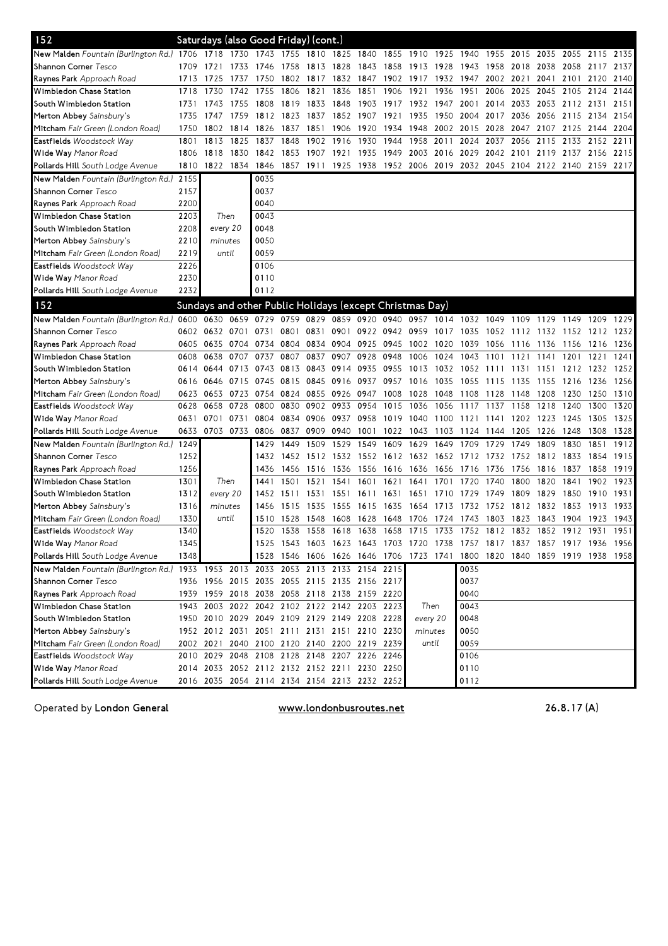| 152                                                                                                        |      |                |           |      | Saturdays (also Good Friday) (cont.)                                       |                |                                                                  |                     |      |           |           |                     |                |                |           |                          |      |      |
|------------------------------------------------------------------------------------------------------------|------|----------------|-----------|------|----------------------------------------------------------------------------|----------------|------------------------------------------------------------------|---------------------|------|-----------|-----------|---------------------|----------------|----------------|-----------|--------------------------|------|------|
| New Malden Fountain (Burlington Rd.) 1706 1718                                                             |      |                | 1730      | 1743 | 1755 1810 1825                                                             |                |                                                                  | 1840                | 1855 | 1910      | 1925      | 1940                | 1955           | 2015           | 2035      | 2055                     | 2115 | 2135 |
| <b>Shannon Corner</b> Tesco                                                                                | 1709 | 1721           | 1733      | 1746 | 1758                                                                       | 1813 1828      |                                                                  | 1843                | 1858 | 1913      | 1928      | 1943                | 1958           | 2018           | 2038      | 2058                     | 2117 | 2137 |
| <b>Raynes Park</b> Approach Road                                                                           | 1713 | 1725           | 1737      | 1750 |                                                                            | 1802 1817      | 1832                                                             | 1847 1902 1917      |      |           | 1932 1947 |                     | 2002 2021      |                | 2041      | 2101 2120                |      | 2140 |
| Wimbledon Chase Station                                                                                    | 1718 | 1730           | 1742      | 1755 | 1806                                                                       | 1821           | 1836                                                             | 1851                | 1906 | 1921      | 1936      | 1951                | 2006           | 2025           | 2045      | 2105                     | 2124 | 2144 |
| South Wimbledon Station                                                                                    | 1731 | 1743           | 1755      | 1808 | 1819                                                                       | 1833           | 1848                                                             | 1903                | 1917 | 1932      | 1947      | 2001                | 2014           | 2033           |           | 2053 2112 2131           |      | 2151 |
| Merton Abbey Sainsbury's                                                                                   | 1735 | 1747           | 1759      | 1812 | 1823                                                                       | 1837           | 1852                                                             | 1907                | 1921 | 1935      | 1950      | 2004                | 2017           | 2036           | 2056 2115 |                          | 2134 | 2154 |
| <b>Mitcham</b> Fair Green (London Road)                                                                    | 1750 | 1802           | 1814      | 1826 | 1837                                                                       | 1851           | 1906                                                             | 1920                | 1934 | 1948      | 2002      | 2015                | 2028           | 2047           | 2107 2125 |                          | 2144 | 2204 |
| <b>Eastfields</b> Woodstock Way                                                                            | 1801 | 1813           | 1825      | 1837 | 1848                                                                       | 1902           | 1916                                                             | 1930                | 1944 | 1958      | 2011      | 2024                | 2037           | 2056           | 2115      | 2133                     | 2152 | 2211 |
| Wide Way Manor Road                                                                                        | 1806 | 1818           | 1830      | 1842 | 1853                                                                       | 1907 1921      |                                                                  | 1935                | 1949 |           |           | 2003 2016 2029 2042 |                |                |           | 2101 2119 2137 2156 2215 |      |      |
| <b>Pollards Hill</b> South Lodge Avenue                                                                    | 1810 | 1822 1834 1846 |           |      | 1857 1911 1925 1938 1952 2006 2019 2032 2045 2104 2122 2140 2159 2217      |                |                                                                  |                     |      |           |           |                     |                |                |           |                          |      |      |
| <b>New Malden</b> Fountain (Burlington Rd.)                                                                | 2155 |                |           | 0035 |                                                                            |                |                                                                  |                     |      |           |           |                     |                |                |           |                          |      |      |
| <b>Shannon Corner</b> Tesco                                                                                | 2157 |                |           | 0037 |                                                                            |                |                                                                  |                     |      |           |           |                     |                |                |           |                          |      |      |
| <b>Raynes Park</b> Approach Road                                                                           | 2200 |                |           | 0040 |                                                                            |                |                                                                  |                     |      |           |           |                     |                |                |           |                          |      |      |
| Wimbledon Chase Station                                                                                    | 2203 | Then           |           | 0043 |                                                                            |                |                                                                  |                     |      |           |           |                     |                |                |           |                          |      |      |
| South Wimbledon Station                                                                                    | 2208 | every 20       |           | 0048 |                                                                            |                |                                                                  |                     |      |           |           |                     |                |                |           |                          |      |      |
| Merton Abbey Sainsbury's                                                                                   | 2210 | minutes        |           | 0050 |                                                                            |                |                                                                  |                     |      |           |           |                     |                |                |           |                          |      |      |
| <b>Mitcham</b> Fair Green (London Road)                                                                    | 2219 | until          |           | 0059 |                                                                            |                |                                                                  |                     |      |           |           |                     |                |                |           |                          |      |      |
| Eastfields Woodstock Way                                                                                   | 2226 |                |           | 0106 |                                                                            |                |                                                                  |                     |      |           |           |                     |                |                |           |                          |      |      |
| <b>Wide Way</b> Manor Road                                                                                 | 2230 |                |           | 0110 |                                                                            |                |                                                                  |                     |      |           |           |                     |                |                |           |                          |      |      |
| <b>Pollards Hill</b> South Lodge Avenue                                                                    | 2232 |                |           | 0112 |                                                                            |                |                                                                  |                     |      |           |           |                     |                |                |           |                          |      |      |
| 152                                                                                                        |      |                |           |      | Sundays and other Public Holidays (except Christmas Day)                   |                |                                                                  |                     |      |           |           |                     |                |                |           |                          |      |      |
| New Malden Fountain (Burlington Rd.) 0600 0630 0659 0729 0759 0829 0859 0920 0940 0957 1014 1032 1049 1109 |      |                |           |      |                                                                            |                |                                                                  |                     |      |           |           |                     |                |                | 1129      | 1149 1209                |      | 1229 |
| Shannon Corner Tesco                                                                                       | 0602 | 0632           | 0701      | 0731 | 0801                                                                       | 0831           |                                                                  | 0901 0922 0942 0959 |      |           | 1017      | 1035                | 1052           | 1112           | 1132 1152 |                          | 1212 | 1232 |
| <b>Raynes Park</b> Approach Road                                                                           | 0605 | 0635           | 0704 0734 |      |                                                                            | 0804 0834 0904 |                                                                  | 0925 0945           |      | 1002 1020 |           | 1039                | 1056 1116 1136 |                |           | 1156                     | 1216 | 1236 |
| Wimbledon Chase Station                                                                                    | 0608 | 0638           | 0707      | 0737 | 0807                                                                       | 0837           | 0907                                                             | 0928                | 0948 | 1006      | 1024      | 1043                | 1101           | 1121           | 1141      | 1201                     | 1221 | 1241 |
| South Wimbledon Station                                                                                    | 0614 | 0644           | 0713 0743 |      |                                                                            | 0813 0843 0914 |                                                                  | 0935                | 0955 | 1013      |           | 1032 1052 1111      |                | 1131           |           | 1151 1212 1232           |      | 1252 |
| Merton Abbey Sainsbury's                                                                                   | 0616 | 0646           | 0715 0745 |      |                                                                            | 0815 0845 0916 |                                                                  | 0937 0957           |      | 1016      | 1035      | 1055 1115           |                | 1135           | 1155 1216 |                          | 1236 | 1256 |
| Mitcham Fair Green (London Road)                                                                           | 0623 | 0653           | 0723 0754 |      |                                                                            | 0824 0855 0926 |                                                                  | 0947                | 1008 | 1028      | 1048      | 1108                | 1128           | 1148           | 1208      | 1230                     | 1250 | 1310 |
| Eastfields Woodstock Way                                                                                   | 0628 | 0658           | 0728      | 0800 | 0830                                                                       | 0902           | 0933                                                             | 0954                | 1015 | 1036      | 1056      | 1117                | 1137           | 1158           | 1218      | 1240                     | 1300 | 1320 |
| <b>Wide Way</b> Manor Road                                                                                 | 0631 | 0701           | 0731 0804 |      | 0834 0906                                                                  |                | 0937                                                             | 0958                | 1019 | 1040      | 1100      | 1121 1141           |                | 1202           | 1223 1245 |                          | 1305 | 1325 |
| <b>Pollards Hill</b> South Lodge Avenue                                                                    | 0633 |                | 0703 0733 | 0806 | 0837                                                                       | 0909           | 0940                                                             | 1001                | 1022 | 1043      | 1103      | 1124                | 1144           | 1205           | 1226      | 1248                     | 1308 | 1328 |
| <b>New Malden</b> Fountain (Burlington Rd.)                                                                | 1249 |                |           | 1429 | 1449                                                                       | 1509           | 1529                                                             | 1549                | 1609 | 1629      | 1649      | 1709                | 1729           | 1749           | 1809      | 1830                     | 1851 | 1912 |
| <b>Shannon Corner</b> Tesco                                                                                | 1252 |                |           | 1432 |                                                                            | 1452 1512 1532 |                                                                  | 1552 1612 1632      |      |           |           | 1652 1712 1732      |                | 1752 1812 1833 |           |                          | 1854 | 1915 |
| <b>Raynes Park</b> Approach Road                                                                           | 1256 |                |           | 1436 | 1456                                                                       | 1516 1536      |                                                                  | 1556                | 1616 | 1636      | 1656      | 1716                | 1736           | 1756           | 1816      | 1837                     | 1858 | 1919 |
| Wimbledon Chase Station                                                                                    | 1301 | Then           |           | 1441 | 1501                                                                       | 1521           | 1541                                                             | 1601                | 1621 | 1641      | 1701      | 1720                | 1740           | 1800           | 1820      | 1841                     | 1902 | 1923 |
| South Wimbledon Station                                                                                    | 1312 | every 20       |           | 1452 | 1511                                                                       | 1531           | 1551                                                             | 1611                | 1631 | 1651      | 1710      | 1729                | 1749           | 1809           | 1829      | 1850                     | 1910 | 1931 |
| Merton Abbey Sainsbury's                                                                                   | 1316 | minutes        |           | 1456 | 1515                                                                       | 1535           | 1555                                                             | 1615                | 1635 | 1654      | 1713      | 1732                | 1752           | 1812           | 1832      | 1853                     | 1913 | 1933 |
| <b>Mitcham</b> Fair Green (London Road)                                                                    | 1330 | until          |           | 1510 | 1528 1548                                                                  |                | 1608                                                             | 1628 1648           |      | 1706      |           | 1724 1743 1803      |                | 1823           | 1843 1904 |                          | 1923 | 1943 |
| <b>Eastfields</b> Woodstock Way                                                                            | 1340 |                |           | 1520 |                                                                            |                | 1538 1558 1618 1638 1658 1715 1733 1752 1812 1832 1852 1912 1931 |                     |      |           |           |                     |                |                |           |                          |      | 1951 |
| Wide Way Manor Road                                                                                        | 1345 |                |           |      | 1525 1543 1603 1623 1643 1703 1720 1738 1757 1817 1837 1857 1917 1936 1956 |                |                                                                  |                     |      |           |           |                     |                |                |           |                          |      |      |
| <b>Pollards Hill</b> South Lodge Avenue                                                                    | 1348 |                |           |      | 1528 1546 1606 1626 1646 1706 1723 1741 1800 1820 1840 1859 1919 1938 1958 |                |                                                                  |                     |      |           |           |                     |                |                |           |                          |      |      |
| New Malden Fountain (Burlington Rd.) 1933 1953 2013 2033 2053 2113 2133 2154 2215                          |      |                |           |      |                                                                            |                |                                                                  |                     |      |           |           | 0035                |                |                |           |                          |      |      |
| Shannon Corner Tesco                                                                                       |      |                |           |      | 1936 1956 2015 2035 2055 2115 2135 2156 2217                               |                |                                                                  |                     |      |           |           | 0037                |                |                |           |                          |      |      |
| Raynes Park Approach Road                                                                                  |      |                |           |      | 1939 1959 2018 2038 2058 2118 2138 2159 2220                               |                |                                                                  |                     |      |           |           | 0040                |                |                |           |                          |      |      |
| Wimbledon Chase Station                                                                                    |      |                |           |      | 1943 2003 2022 2042 2102 2122 2142 2203 2223                               |                |                                                                  |                     |      | Then      |           | 0043                |                |                |           |                          |      |      |
| South Wimbledon Station                                                                                    |      |                |           |      | 1950 2010 2029 2049 2109 2129 2149 2208 2228                               |                |                                                                  |                     |      | every 20  |           | 0048                |                |                |           |                          |      |      |
| Merton Abbey Sainsbury's                                                                                   |      |                |           |      | 1952 2012 2031 2051 2111 2131 2151 2210 2230                               |                |                                                                  |                     |      | minutes   |           | 0050                |                |                |           |                          |      |      |
| Mitcham Fair Green (London Road)                                                                           |      |                |           |      | 2002 2021 2040 2100 2120 2140 2200 2219 2239                               |                |                                                                  |                     |      | until     |           | 0059                |                |                |           |                          |      |      |
| Eastfields Woodstock Way                                                                                   |      |                |           |      | 2010 2029 2048 2108 2128 2148 2207 2226 2246                               |                |                                                                  |                     |      |           |           | 0106                |                |                |           |                          |      |      |
| Wide Way Manor Road                                                                                        |      |                |           |      | 2014 2033 2052 2112 2132 2152 2211 2230 2250                               |                |                                                                  |                     |      |           |           | 0110                |                |                |           |                          |      |      |
| <b>Pollards Hill</b> South Lodge Avenue                                                                    |      |                |           |      | 2016 2035 2054 2114 2134 2154 2213 2232 2252                               |                |                                                                  |                     |      |           |           | 0112                |                |                |           |                          |      |      |

OperatedbyLondonGeneral www.londonbusroutes.net 26.8.17(A)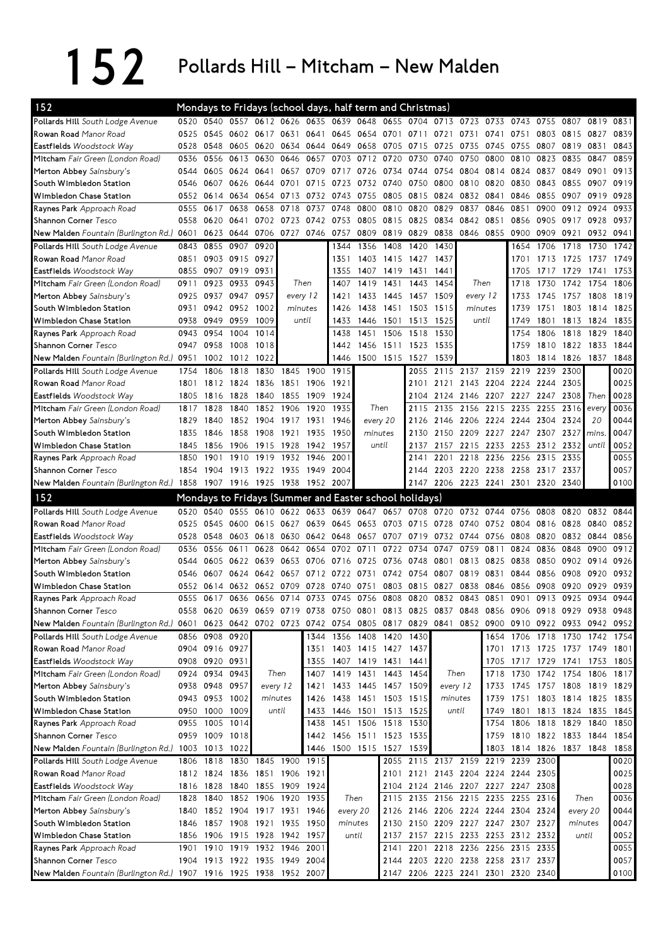## 152 Pollards Hill – Mitcham – New Malden

| 152                                                                                                                            |      |                     |                | Mondays to Fridays (school days, half term and Christmas) |           |                |      |                     |                |                |          |                |                                    |           |                               |           |           |           |
|--------------------------------------------------------------------------------------------------------------------------------|------|---------------------|----------------|-----------------------------------------------------------|-----------|----------------|------|---------------------|----------------|----------------|----------|----------------|------------------------------------|-----------|-------------------------------|-----------|-----------|-----------|
| Pollards Hill South Lodge Avenue                                                                                               | 0520 | 0540                |                | 0557 0612 0626 0635 0639 0648                             |           |                |      |                     | 0655           | 0704 0713 0723 |          |                | 0733                               | 0743      | 0755                          | 0807      | 0819      | 0831      |
| Rowan Road Manor Road                                                                                                          | 0525 | 0545                | 0602 0617      |                                                           | 0631      | 0641           | 0645 |                     |                | 0654 0701 0711 | 0721     | 0731           | 0741                               | 0751      | 0803 0815                     |           | 0827      | 0839      |
| Eastfields Woodstock Way                                                                                                       | 0528 | 0548                | 0605 0620      |                                                           |           | 0634 0644      | 0649 | 0658 0705           |                | 0715           | 0725     | 0735           | 0745                               | 0755      | 0807                          | 0819 0831 |           | 0843      |
| Mitcham Fair Green (London Road)                                                                                               | 0536 | 0556                | 0613           | 0630                                                      | 0646      | 0657           | 0703 | 0712 0720           |                | 0730           | 0740     | 0750           | 0800                               | 0810      | 0823                          | 0835      | 0847      | 0859      |
| Merton Abbey Sainsbury's                                                                                                       | 0544 | 0605                | 0624           | 0641                                                      | 0657      | 0709           | 0717 | 0726                | 0734           | 0744           | 0754     | 0804           | 0814                               | 0824      | 0837                          | 0849      | 0901      | 0913      |
| South Wimbledon Station                                                                                                        | 0546 | 0607                | 0626           | 0644                                                      | 0701      | 0715           | 0723 | 0732                | 0740           | 0750           | 0800     | 0810           | 0820                               | 0830      | 0843                          | 0855      | 0907      | 0919      |
| Wimbledon Chase Station                                                                                                        | 0552 | 0614                | 0634           | 0654                                                      | 0713      | 0732           | 0743 | 0755                | 0805           | 0815           | 0824     | 0832           | 0841                               | 0846      | 0855                          | 0907      | 0919      | 0928      |
| Raynes Park Approach Road                                                                                                      | 0555 | 0617                | 0638           | 0658                                                      | 0718      | 0737           | 0748 | 0800                | 0810           | 0820           | 0829     | 0837           | 0846                               | 0851      | 0900                          | 0912      | 0924      | 0933      |
| Shannon Corner Tesco                                                                                                           | 0558 | 0620                | 0641           | 0702                                                      |           | 0723 0742 0753 |      | 0805                | 0815           | 0825           | 0834     | 0842           | 0851                               | 0856      | 0905                          | 0917      | 0928      | 0937      |
| New Malden Fountain (Burlington Rd.) 0601                                                                                      |      | 0623                | 0644 0706      |                                                           |           | 0727 0746 0757 |      | 0809                | 0819           | 0829           | 0838     | 0846 0855      |                                    | 0900      | 0909                          | 0921      | 0932      | 0941      |
| Pollards Hill South Lodge Avenue                                                                                               | 0843 | 0855                | 0907           | 0920                                                      |           |                | 1344 | 1356                | 1408           | 1420           | 1430     |                |                                    | 1654      | 1706                          | 1718      | 1730      | 1742      |
| Rowan Road Manor Road                                                                                                          | 0851 |                     | 0903 0915 0927 |                                                           |           |                | 1351 |                     | 1403 1415      | 1427           | 1437     |                |                                    | 1701      | 1713                          | 1725      | 1737      | 1749      |
| Eastfields Woodstock Way                                                                                                       | 0855 | 0907 0919 0931      |                |                                                           |           |                | 1355 |                     | 1407 1419 1431 |                | 1441     |                |                                    | 1705      | 1717                          | 1729      | 1741      | 1753      |
| Mitcham Fair Green (London Road)                                                                                               | 0911 | 0923                | 0933           | 0943                                                      |           | Then           | 1407 | 1419                | 1431           | 1443           | 1454     | Then           |                                    | 1718      | 1730                          | 1742      | 1754      | 1806      |
| Merton Abbey Sainsbury's                                                                                                       | 0925 |                     | 0937 0947 0957 |                                                           |           | every 12       | 1421 | 1433                | 1445           | 1457           | 1509     | every 12       |                                    | 1733      | 1745                          | 1757 1808 |           | 1819      |
| South Wimbledon Station                                                                                                        | 0931 |                     | 0942 0952      | 1002                                                      |           | minutes        | 1426 | 1438                | 1451           | 1503           | 1515     | minutes        |                                    | 1739      | 1751                          | 1803      | 1814      | 1825      |
| Wimbledon Chase Station                                                                                                        | 0938 | 0949                | 0959           | 1009                                                      |           | until          | 1433 | 1446 1501           |                | 1513           | 1525     | until          |                                    | 1749      | 1801                          | 1813      | 1824      | 1835      |
| Raynes Park Approach Road                                                                                                      | 0943 | 0954                | 1004           | 1014                                                      |           |                | 1438 | 1451                | 1506           | 1518           | 1530     |                |                                    | 1754      | 1806                          | 1818      | 1829      | 1840      |
| Shannon Corner Tesco                                                                                                           | 0947 | 0958                | 1008           | 1018                                                      |           |                | 1442 |                     | 1456 1511      | 1523           | 1535     |                |                                    | 1759      | 1810                          | 1822      | 1833      | 1844      |
| New Malden Fountain (Burlington Rd.)                                                                                           | 0951 | 1002                | 1012 1022      |                                                           |           |                | 1446 |                     | 1500 1515      | 1527           | 1539     |                |                                    | 1803      | 1814                          | 1826      | 1837      | 1848      |
| Pollards Hill South Lodge Avenue                                                                                               | 1754 | 1806                | 1818           | 1830                                                      | 1845      | 1900           | 1915 |                     |                | 2055           | 2115     | 2137 2159      |                                    | 2219      | 2239                          | 2300      |           | 0020      |
| Rowan Road Manor Road                                                                                                          | 1801 | 1812                | 1824           | 1836                                                      |           | 1851 1906      | 1921 |                     |                | 2101           | 2121     | 2143           | 2204                               | 2224      | 2244                          | 2305      |           | 0025      |
| Eastfields Woodstock Way                                                                                                       | 1805 | 1816                | 1828           | 1840                                                      | 1855      | 1909           | 1924 |                     |                | 2104           |          | 2124 2146 2207 |                                    | 2227      | 2247                          | 2308      | Then      | 0028      |
| Mitcham Fair Green (London Road)                                                                                               | 1817 | 1828                | 1840           | 1852                                                      | 1906      | 1920           | 1935 | Then                |                | 2115           | 2135     | 2156           | 2215                               | 2235      | 2255                          | 2316      | every     | 0036      |
| Merton Abbey Sainsbury's                                                                                                       | 1829 | 1840                | 1852 1904      |                                                           |           | 1917 1931      | 1946 | every 20            |                | 2126           |          |                | 2146 2206 2224 2244                |           | 2304                          | 2324      | 20        | 0044      |
| South Wimbledon Station                                                                                                        | 1835 | 1846                | 1858           | 1908                                                      | 1921      | 1935           | 1950 | minutes             |                | 2130           | 2150     | 2209           | 2227                               | 2247      | 2307                          | 2327      | mins.     | 0047      |
| Wimbledon Chase Station                                                                                                        | 1845 | 1856                | 1906           | 1915                                                      | 1928      | 1942           | 1957 | until               |                | 2137           |          | 2157 2215      | 2233                               |           | 2253 2312 2332                |           | until     | 0052      |
| Raynes Park Approach Road                                                                                                      | 1850 | 1901                | 1910           | 1919                                                      | 1932      | 1946           | 2001 |                     |                | 2141           | 2201     | 2218           | 2236                               | 2256      | 2315                          | 2335      |           | 0055      |
| Shannon Corner Tesco                                                                                                           | 1854 | 1904                | 1913           | 1922                                                      | 1935      | 1949           | 2004 |                     |                | 2144           |          | 2203 2220      | 2238                               | 2258      | 2317 2337                     |           |           | 0057      |
| New Malden Fountain (Burlington Rd.) 1858                                                                                      |      |                     |                | 1907 1916 1925 1938 1952 2007                             |           |                |      |                     |                |                |          |                | 2147 2206 2223 2241                | 2301      | 2320                          | 2340      |           | 0100      |
|                                                                                                                                |      |                     |                |                                                           |           |                |      |                     |                |                |          |                |                                    |           |                               |           |           |           |
|                                                                                                                                |      |                     |                |                                                           |           |                |      |                     |                |                |          |                |                                    |           |                               |           |           |           |
| 152                                                                                                                            |      |                     |                | Mondays to Fridays (Summer and Easter school holidays)    |           |                |      |                     |                |                |          |                |                                    |           |                               |           |           |           |
| Pollards Hill South Lodge Avenue                                                                                               | 0520 | 0540                |                | 0555 0610 0622                                            |           | 0633           | 0639 | 0647                |                | 0657 0708 0720 |          | 0732 0744      |                                    | 0756      | 0808                          | 0820      | 0832      | 0844      |
| Rowan Road Manor Road                                                                                                          | 0525 | 0545                | 0600           | 0615                                                      | 0627      | 0639           | 0645 | 0653 0703 0715      |                |                | 0728     | 0740           | 0752                               | 0804      | 0816                          | 0828      | 0840      | 0852      |
| Eastfields Woodstock Way                                                                                                       | 0528 | 0548                | 0603           | 0618                                                      | 0630      | 0642           | 0648 | 0657                | 0707           | 0719           | 0732     | 0744           | 0756                               | 0808      | 0820                          | 0832 0844 |           | 0856      |
| Mitcham Fair Green (London Road)                                                                                               | 0536 | 0556                | 0611           | 0628                                                      | 0642      | 0654           | 0702 | 0711                | 0722           | 0734           | 0747     | 0759           | 0811                               | 0824      | 0836                          | 0848      | 0900      | 0912      |
| Merton Abbey Sainsbury's                                                                                                       | 0544 | 0605                | 0622           | 0639                                                      | 0653      | 0706           | 0716 | 0725                | 0736           | 0748           | 0801     | 0813           | 0825                               | 0838      | 0850                          | 0902      | 0914      | 0926      |
| South Wimbledon Station                                                                                                        | 0546 | 0607                | 0624 0642      |                                                           | 0657      | 0712           | 0722 | 0731                | 0742           | 0754           | 0807     | 0819           | 0831                               | 0844      | 0856                          | 0908      | 0920      | 0932      |
| Wimbledon Chase Station                                                                                                        | 0552 | 0614                | 0632           | 0652                                                      | 0709      | 0728           | 0740 | 0751                | 0803           | 0815           | 0827     | 0838           | 0846                               | 0856      | 0908                          | 0920      | 0929      | 0939      |
| Raynes Park Approach Road                                                                                                      | 0555 | 0617                |                | 0636 0656 0714 0733                                       |           |                |      | 0745 0756 0808      |                |                |          | 0820 0832 0843 | 0851                               | 0901      | 0913                          | 0925      | 0934      | 0944      |
| Shannon Corner Tesco                                                                                                           | 0558 |                     |                | 0620 0639 0659 0719 0738 0750 0801 0813 0825 0837 0848    |           |                |      |                     |                |                |          |                |                                    |           | 0856 0906 0918 0929 0938 0948 |           |           |           |
| New Malden Fountain (Burlington Rd.) 0601 0623 0642 0702 0723 0742 0754 0805 0817 0829 0841 0852 0900 0910 0922 0933 0942 0952 |      |                     |                |                                                           |           |                |      |                     |                |                |          |                |                                    |           |                               |           |           |           |
| Pollards Hill South Lodge Avenue                                                                                               |      | 0856 0908 0920      |                |                                                           |           |                |      | 1344 1356 1408 1420 |                | 1430           |          |                |                                    | 1654 1706 | 1718 1730                     |           | 1742 1754 |           |
| Rowan Road Manor Road                                                                                                          |      | 0904 0916 0927      |                |                                                           |           | 1351           |      | 1403 1415 1427      |                | 1437           |          |                |                                    |           | 1701 1713 1725 1737 1749 1801 |           |           |           |
| Eastfields Woodstock Way                                                                                                       |      | 0908 0920 0931      |                |                                                           |           | 1355           |      | 1407 1419 1431      |                | 1441           |          |                | 1705                               | 1717      | 1729 1741                     |           | 1753      | 1805      |
| Mitcham Fair Green (London Road)                                                                                               | 0924 | 0934                | 0943           | Then                                                      |           | 1407           | 1419 | 1431 1443           |                | 1454           |          | Then           | 1718                               | 1730      | 1742                          | 1754      | 1806      | 1817      |
| Merton Abbey Sainsbury's                                                                                                       |      | 0938 0948 0957      |                | every 12                                                  |           | 1421           | 1433 |                     | 1445 1457 1509 |                | every 12 |                | 1733                               | 1745      | 1757 1808                     |           |           | 1819 1829 |
| South Wimbledon Station                                                                                                        |      | 0943 0953 1002      |                | minutes                                                   |           | 1426           | 1438 | 1451 1503 1515      |                |                | minutes  |                | 1739                               | 1751      | 1803 1814 1825 1835           |           |           |           |
| Wimbledon Chase Station                                                                                                        |      | 0950 1000 1009      |                | until                                                     |           | 1433           |      | 1446 1501 1513 1525 |                |                |          | until          | 1749                               |           | 1801 1813 1824 1835           |           |           | 1845      |
| Raynes Park Approach Road                                                                                                      |      | 0955 1005 1014      |                |                                                           |           | 1438           |      | 1451 1506 1518      |                | 1530           |          |                | 1754                               |           | 1806 1818 1829 1840           |           |           | 1850      |
| Shannon Corner Tesco                                                                                                           |      | 0959 1009 1018      |                |                                                           |           | 1442           |      | 1456 1511 1523 1535 |                |                |          |                |                                    |           | 1759 1810 1822 1833 1844      |           |           | 1854      |
| New Malden Fountain (Burlington Rd.) 1003 1013 1022                                                                            |      |                     |                |                                                           |           | 1446           |      | 1500 1515 1527      |                | 1539           |          |                |                                    |           | 1803 1814 1826 1837 1848      |           |           | 1858      |
| Pollards Hill South Lodge Avenue                                                                                               | 1806 | 1818 1830 1845      |                |                                                           |           | 1900 1915      |      |                     |                |                |          |                | 2055 2115 2137 2159 2219 2239      |           | 2300                          |           |           | 0020      |
| Rowan Road Manor Road                                                                                                          |      | 1812 1824 1836 1851 |                |                                                           |           | 1906 1921      |      |                     |                |                |          |                | 2101 2121 2143 2204 2224 2244 2305 |           |                               |           |           | 0025      |
| Eastfields Woodstock Way                                                                                                       |      | 1816 1828 1840 1855 |                |                                                           |           | 1909 1924      |      |                     |                |                |          |                | 2104 2124 2146 2207 2227 2247 2308 |           |                               |           |           | 0028      |
| Mitcham Fair Green (London Road)                                                                                               | 1828 | 1840                | 1852 1906      |                                                           | 1920 1935 |                |      | Then                | 2115           |                |          |                | 2135 2156 2215 2235 2255 2316      |           |                               | Then      |           | 0036      |
|                                                                                                                                | 1840 |                     |                | 1852 1904 1917 1931 1946                                  |           |                |      | every 20            | 2126           |                |          |                | 2146 2206 2224 2244 2304 2324      |           |                               |           | every 20  | 0044      |
| Merton Abbey Sainsbury's<br>South Wimbledon Station                                                                            | 1846 |                     | 1857 1908 1921 |                                                           |           | 1935 1950      |      | minutes             | 2130           |                |          |                | 2150 2209 2227 2247 2307 2327      |           |                               | minutes   |           | 0047      |
| Wimbledon Chase Station                                                                                                        | 1856 | 1906                | 1915 1928      |                                                           |           | 1942 1957      |      | until               | 2137           |                |          |                | 2157 2215 2233 2253 2312 2332      |           |                               |           | until     | 0052      |
|                                                                                                                                | 1901 |                     |                | 1910 1919 1932                                            | 1946      | 2001           |      |                     | 2141           |                |          |                | 2201 2218 2236 2256 2315 2335      |           |                               |           |           | 0055      |
| Raynes Park Approach Road<br>Shannon Corner Tesco                                                                              |      | 1904 1913 1922 1935 |                |                                                           | 1949 2004 |                |      |                     | 2144           |                |          |                | 2203 2220 2238 2258 2317 2337      |           |                               |           |           | 0057      |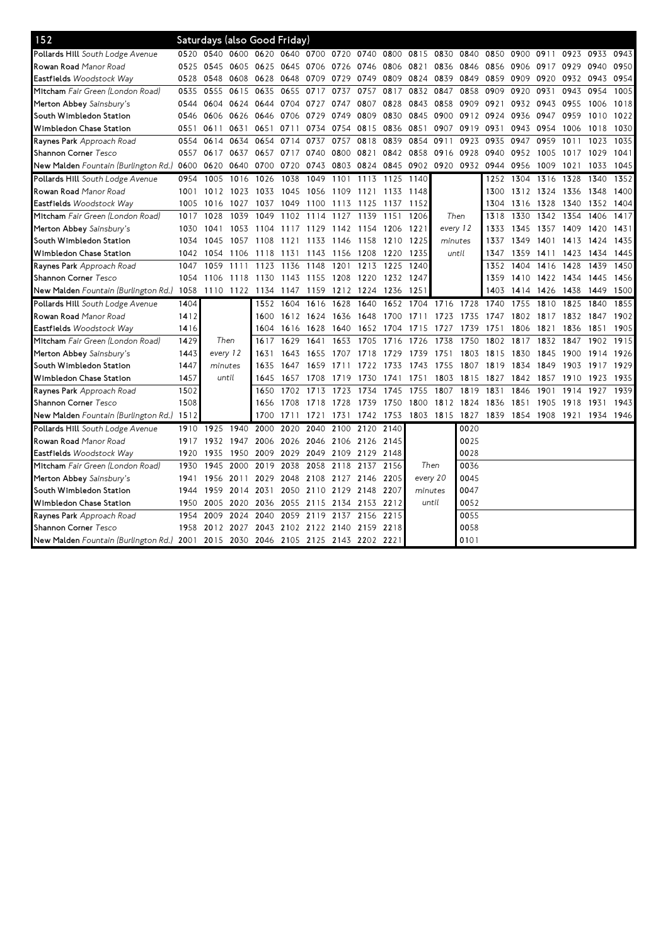| 152                                                                               |      | Saturdays (also Good Friday) |                |           |      |                |                          |           |           |      |                                              |           |           |           |           |      |      |      |
|-----------------------------------------------------------------------------------|------|------------------------------|----------------|-----------|------|----------------|--------------------------|-----------|-----------|------|----------------------------------------------|-----------|-----------|-----------|-----------|------|------|------|
| Pollards Hill South Lodge Avenue                                                  | 0520 | 0540                         | 0600 0620      |           |      |                | 0640 0700 0720 0740      |           | 0800      | 0815 | 0830                                         | 0840      | 0850      | 0900      | 0911      | 0923 | 0933 | 0943 |
| Rowan Road Manor Road                                                             | 0525 | 0545                         | 0605 0625      |           | 0645 | 0706 0726      |                          | 0746      | 0806 0821 |      | 0836                                         | 0846      | 0856      | 0906      | 0917      | 0929 | 0940 | 0950 |
| Eastfields Woodstock Wav                                                          | 0528 | 0548                         | 0608           | 0628      | 0648 | 0709           | 0729                     | 0749      | 0809 0824 |      | 0839                                         |           | 0849 0859 | 0909      | 0920      | 0932 | 0943 | 0954 |
| Mitcham Fair Green (London Road)                                                  | 0535 | 0555                         | 0615           | 0635      | 0655 | 0717           | 0737                     | 0757      | 0817      | 0832 | 0847                                         | 0858      | 0909      | 0920      | 0931      | 0943 | 0954 | 1005 |
| Merton Abbey Sainsbury's                                                          | 0544 | 0604                         | 0624 0644      |           | 0704 | 0727           | 0747                     | 0807      | 0828      | 0843 | 0858                                         | 0909 0921 |           | 0932 0943 |           | 0955 | 1006 | 1018 |
| South Wimbledon Station                                                           | 0546 | 0606                         | 0626 0646      |           | 0706 | 0729           | 0749                     | 0809      | 0830      | 0845 | 0900                                         | 0912      | 0924      | 0936      | 0947      | 0959 | 1010 | 1022 |
| <b>Wimbledon Chase Station</b>                                                    | 0551 | 0611                         | 0631 0651      |           | 0711 | 0734           | 0754                     | 0815      | 0836 0851 |      | 0907                                         | 0919      | 0931      | 0943      | 0954      | 1006 | 1018 | 1030 |
| <b>Raynes Park</b> Approach Road                                                  | 0554 | 0614                         | 0634           | 0654      | 0714 | 0737           | 0757                     | 0818      | 0839      | 0854 | 0911                                         | 0923      | 0935      | 0947      | 0959      | 1011 | 1023 | 1035 |
| Shannon Corner Tesco                                                              | 0557 | 0617                         | 0637           | 0657      | 0717 | 0740           | 0800                     | 0821      | 0842 0858 |      | 0916 0928                                    |           | 0940      | 0952      | 1005      | 1017 | 1029 | 1041 |
| <b>New Malden</b> Fountain (Burlington Rd.) 0600                                  |      | 0620                         | 0640 0700      |           | 0720 | 0743 0803      |                          | 0824      |           |      | 0845 0902 0920 0932 0944                     |           |           | 0956      | 1009      | 1021 | 1033 | 1045 |
| Pollards Hill South Lodge Avenue                                                  | 0954 | 1005                         | 1016           | 1026      | 1038 | 1049           | 1101                     | 1113      | 1125      | 1140 |                                              |           | 1252      | 1304      | 1316      | 1328 | 1340 | 1352 |
| Rowan Road Manor Road                                                             | 1001 | 1012                         | 1023           | 1033      | 1045 | 1056           | 1109                     | 1121      | 1133      | 1148 |                                              |           | 1300      | 1312      | 1324      | 1336 | 1348 | 1400 |
| <b>Eastfields</b> Woodstock Wav                                                   | 1005 | 1016                         | 1027           | 1037      | 1049 | 1100           | 1113                     | 1125      | 1137      | 1152 |                                              |           | 1304      | 1316      | 1328      | 1340 | 1352 | 1404 |
| <b>Mitcham</b> Fair Green (London Road)                                           | 1017 | 1028                         | 1039           | 1049      | 1102 | 1114           | 1127                     | 1139      | 1151      | 1206 | Then                                         |           | 1318      | 1330      | 1342      | 1354 | 1406 | 1417 |
| Merton Abbey Sainsbury's                                                          | 1030 | 1041                         |                | 1053 1104 |      | 1117 1129 1142 |                          | 1154 1206 |           | 1221 | every 12                                     |           | 1333      | 1345      | 1357 1409 |      | 1420 | 1431 |
| South Wimbledon Station                                                           | 1034 | 1045                         | 1057 1108      |           |      | 1121 1133 1146 |                          | 1158 1210 |           | 1225 | minutes                                      |           | 1337      | 1349      | 1401 1413 |      | 1424 | 1435 |
| <b>Wimbledon Chase Station</b>                                                    | 1042 | 1054                         | 1106           | 1118      | 1131 | 1143           | 1156                     | 1208      | 1220      | 1235 | until                                        |           | 1347      | 1359      | 1411      | 1423 | 1434 | 1445 |
| <b>Raynes Park</b> Approach Road                                                  | 1047 | 1059                         | 1111 1123      |           | 1136 | 1148           | 1201                     |           | 1213 1225 | 1240 |                                              |           | 1352      | 1404      | 1416      | 1428 | 1439 | 1450 |
| <b>Shannon Corner Tesco</b>                                                       | 1054 | 1106                         | 1118           | 1130      |      | 1143 1155      | 1208                     | 1220      | 1232      | 1247 |                                              |           | 1359      | 1410      | 1422 1434 |      | 1445 | 1456 |
| New Malden Fountain (Burlington Rd.) 1058                                         |      |                              | 1110 1122 1134 |           |      |                | 1147 1159 1212 1224      |           | 1236      | 1251 |                                              |           | 1403      |           | 1414 1426 | 1438 | 1449 | 1500 |
| Pollards Hill South Lodge Avenue                                                  | 1404 |                              |                | 1552      | 1604 | 1616           | 1628                     | 1640      | 1652      | 1704 | 1716                                         | 1728      | 1740      | 1755      | 1810      | 1825 | 1840 | 1855 |
| Rowan Road Manor Road                                                             | 1412 |                              |                | 1600      |      | 1612 1624      | 1636                     | 1648      | 1700      | 1711 | 1723                                         | 1735      | 1747      | 1802      | 1817      | 1832 | 1847 | 1902 |
| <b>Eastfields</b> Woodstock Wav                                                   | 1416 |                              |                | 1604      | 1616 | 1628           | 1640                     | 1652      | 1704      | 1715 | 1727                                         | 1739      | 1751      | 1806      | 1821      | 1836 | 1851 | 1905 |
| <b>Mitcham</b> Fair Green (London Road)                                           | 1429 |                              | Then           | 1617      | 1629 | 1641           | 1653                     | 1705      | 1716      | 1726 | 1738                                         | 1750      | 1802      | 1817      | 1832      | 1847 | 1902 | 1915 |
| Merton Abbey Sainsbury's                                                          | 1443 | every 12                     |                | 1631      | 1643 | 1655           | 1707                     | 1718      | 1729      | 1739 | 1751                                         | 1803      | 1815      | 1830      | 1845      | 1900 | 1914 | 1926 |
| South Wimbledon Station                                                           | 1447 | minutes                      |                | 1635      | 1647 | 1659           | 1711                     | 1722      | 1733      | 1743 | 1755                                         | 1807      | 1819      | 1834      | 1849      | 1903 | 1917 | 1929 |
| <b>Wimbledon Chase Station</b>                                                    | 1457 |                              | until          | 1645      | 1657 | 1708           | 1719                     | 1730      | 1741      | 1751 | 1803                                         | 1815      | 1827      | 1842      | 1857      | 1910 | 1923 | 1935 |
| Raynes Park Approach Road                                                         | 1502 |                              |                | 1650      | 1702 | 1713           | 1723                     | 1734      | 1745      | 1755 | 1807                                         | 1819      | 1831      | 1846      | 1901      | 1914 | 1927 | 1939 |
| Shannon Corner Tesco                                                              | 1508 |                              |                | 1656      | 1708 | 1718           | 1728                     | 1739      | 1750      | 1800 | 1812 1824                                    |           | 1836      | 1851      | 1905      | 1918 | 1931 | 1943 |
| New Malden Fountain (Burlington Rd.) 1512                                         |      |                              |                | 1700      | 1711 | 1721           | 1731                     |           | 1742 1753 |      | 1803 1815 1827 1839 1854 1908 1921 1934 1946 |           |           |           |           |      |      |      |
| Pollards Hill South Lodge Avenue                                                  | 1910 | 1925                         | 1940           | 2000      | 2020 | 2040           | 2100                     | 2120      | 2140      |      |                                              | 0020      |           |           |           |      |      |      |
| Rowan Road Manor Road                                                             | 1917 |                              | 1932 1947      | 2006      |      | 2026 2046 2106 |                          | 2126      | 2145      |      |                                              | 0025      |           |           |           |      |      |      |
| <b>Eastfields</b> Woodstock Wav                                                   | 1920 | 1935                         | 1950           | 2009      | 2029 | 2049           | 2109                     | 2129      | 2148      |      |                                              | 0028      |           |           |           |      |      |      |
| <b>Mitcham</b> Fair Green (London Road)                                           | 1930 | 1945                         | 2000           | 2019      | 2038 | 2058           | 2118                     | 2137      | 2156      |      | Then                                         | 0036      |           |           |           |      |      |      |
| Merton Abbey Sainsbury's                                                          | 1941 |                              | 1956 2011      | 2029      |      |                | 2048 2108 2127 2146 2205 |           |           |      | every 20                                     | 0045      |           |           |           |      |      |      |
| South Wimbledon Station                                                           | 1944 | 1959                         | 2014 2031      |           |      | 2050 2110      | 2129                     | 2148      | 2207      |      | minutes                                      | 0047      |           |           |           |      |      |      |
| Wimbledon Chase Station                                                           | 1950 | 2005                         | 2020 2036      |           |      | 2055 2115 2134 |                          | 2153 2212 |           |      | until                                        | 0052      |           |           |           |      |      |      |
| Raynes Park Approach Road                                                         | 1954 | 2009                         | 2024           | 2040      | 2059 | 2119           | 2137                     | 2156      | 2215      |      |                                              | 0055      |           |           |           |      |      |      |
| <b>Shannon Corner Tesco</b>                                                       | 1958 | 2012                         | 2027           | 2043      |      | 2102 2122 2140 |                          | 2159      | 2218      |      |                                              | 0058      |           |           |           |      |      |      |
| New Malden Fountain (Burlington Rd.) 2001 2015 2030 2046 2105 2125 2143 2202 2221 |      |                              |                |           |      |                |                          |           |           |      |                                              | 0101      |           |           |           |      |      |      |